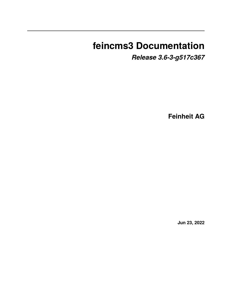# **feincms3 Documentation**

*Release 3.6-3-g517c367*

**Feinheit AG**

**Jun 23, 2022**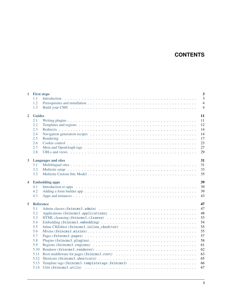# **CONTENTS**

|                         | 1 First steps               | $\overline{\mathbf{3}}$                                                                                                                                                                                                              |  |  |
|-------------------------|-----------------------------|--------------------------------------------------------------------------------------------------------------------------------------------------------------------------------------------------------------------------------------|--|--|
|                         | 1.1                         | $\overline{3}$                                                                                                                                                                                                                       |  |  |
|                         | 1.2                         | $\overline{4}$                                                                                                                                                                                                                       |  |  |
|                         | 1.3                         | $\overline{4}$                                                                                                                                                                                                                       |  |  |
| $\overline{2}$          | <b>Guides</b>               | 11                                                                                                                                                                                                                                   |  |  |
|                         | 2.1                         | 11                                                                                                                                                                                                                                   |  |  |
|                         | 2.2                         | 12                                                                                                                                                                                                                                   |  |  |
|                         | 2.3                         | 14                                                                                                                                                                                                                                   |  |  |
|                         | 2.4                         | 14                                                                                                                                                                                                                                   |  |  |
|                         | 2.5                         | 17                                                                                                                                                                                                                                   |  |  |
|                         | 2.6                         | 23                                                                                                                                                                                                                                   |  |  |
|                         | 2.7                         | 27                                                                                                                                                                                                                                   |  |  |
|                         | 2.8                         | 29                                                                                                                                                                                                                                   |  |  |
|                         |                             |                                                                                                                                                                                                                                      |  |  |
| $3^{\circ}$             |                             | 31<br><b>Languages and sites</b>                                                                                                                                                                                                     |  |  |
|                         | 3.1                         | 31                                                                                                                                                                                                                                   |  |  |
|                         | 3.2                         | 33                                                                                                                                                                                                                                   |  |  |
|                         | 3.3                         | 35                                                                                                                                                                                                                                   |  |  |
| $\overline{\mathbf{4}}$ | 39<br><b>Embedding apps</b> |                                                                                                                                                                                                                                      |  |  |
|                         | 4.1                         | 39<br>Introduction to apps expected a series of the series of the series of the series of the series of the series of the series of the series of the series of the series of the series of the series of the series of the series o |  |  |
|                         | 4.2                         | 39                                                                                                                                                                                                                                   |  |  |
|                         | 4.3                         | 43                                                                                                                                                                                                                                   |  |  |
| 5                       | 47<br><b>Reference</b>      |                                                                                                                                                                                                                                      |  |  |
|                         | 5.1                         | 47                                                                                                                                                                                                                                   |  |  |
|                         | 5.2                         | 48                                                                                                                                                                                                                                   |  |  |
|                         | 5.3                         | 53                                                                                                                                                                                                                                   |  |  |
|                         | 5.4                         | 54                                                                                                                                                                                                                                   |  |  |
|                         | 5.5                         | 55                                                                                                                                                                                                                                   |  |  |
|                         | 5.6                         | 55                                                                                                                                                                                                                                   |  |  |
|                         | 5.7                         | 57                                                                                                                                                                                                                                   |  |  |
|                         | 5.8                         | 58                                                                                                                                                                                                                                   |  |  |
|                         | 5.9                         | 61                                                                                                                                                                                                                                   |  |  |
|                         | 5.10                        | 62                                                                                                                                                                                                                                   |  |  |
|                         | 5.11                        | 63                                                                                                                                                                                                                                   |  |  |
|                         | 5.12                        | 65                                                                                                                                                                                                                                   |  |  |
|                         | 5.13                        | Template tags (feincms3.templatetags.feincms3)<br>66                                                                                                                                                                                 |  |  |
|                         | 5.14                        | 67                                                                                                                                                                                                                                   |  |  |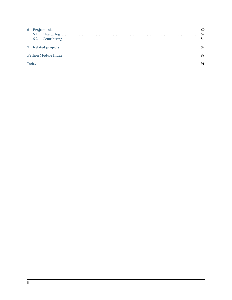| <b>6</b> Project links<br>6.1 |  |  |
|-------------------------------|--|--|
| <b>7</b> Related projects     |  |  |
| <b>Python Module Index</b>    |  |  |
| <b>Index</b>                  |  |  |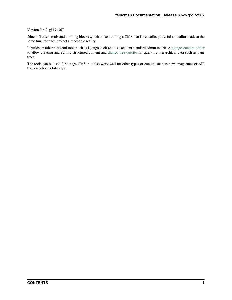#### Version 3.6-3-g517c367

feincms3 offers tools and building blocks which make building a CMS that is versatile, powerful and tailor-made at the same time for each project a reachable reality.

It builds on other powerful tools such as Django itself and its excellent standard admin interface, [django-content-editor](https://django-content-editor.readthedocs.io) to allow creating and editing structured content and [django-tree-queries](https://github.com/matthiask/django-tree-queries) for querying hierarchical data such as page trees.

The tools can be used for a page CMS, but also work well for other types of content such as news magazines or API backends for mobile apps.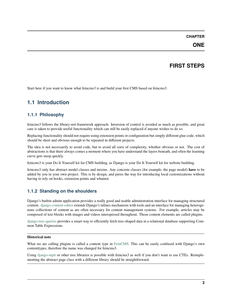#### **CHAPTER**

### **ONE**

# **FIRST STEPS**

<span id="page-6-0"></span>Start here if you want to know what feincms3 is and build your first CMS based on feincms3.

# <span id="page-6-1"></span>**1.1 Introduction**

### **1.1.1 Philosophy**

feincms3 follows the library-not-framework approach. Inversion of control is avoided as much as possible, and great care is taken to provide useful functionality which can still be easily replaced if anyone wishes to do so.

Replacing functionality should not require using extension points or configuration but simply different glue code, which should be short and obvious enough to be repeated in different projects.

The idea is not necessarily to avoid code, but to avoid all sorts of complexity, whether obvious or not. The cost of abstractions is that there always comes a moment where you have understand the layers beneath, and often the learning curve gets steep quickly.

feincms3 is your Do It Yourself kit for CMS building, as Django is your Do It Yourself kit for website building.

feincms3 only has abstract model classes and mixins. Any concrete classes (for example, the page model) **have** to be added by you in your own project. This is by design, and paves the way for introducing local customizations without having to rely on hooks, extension points and whatnot.

# **1.1.2 Standing on the shoulders**

Django's builtin admin application provides a really good and usable administration interface for managing structured content. [django-content-editor](https://django-content-editor.readthedocs.io) extends Django's inlines mechanism with tools and an interface for managing heterogenous collections of content as are often necessary for content management systems. For example, articles may be composed of text blocks with images and videos interspersed throughout. Those content elements are called plugins.

[django-tree-queries](https://github.com/matthiask/django-tree-queries) provides a smart way to efficiently fetch tree-shaped data in a relational database supporting Common Table Expressions.

#### **Historical note**

What we are calling plugins is called a content type in [FeinCMS.](https://github.com/feincms/feincms) This can be easily confused with Django's own contenttypes, therefore the name was changed for feincms3.

Using [django-mptt](https://django-mptt.readthedocs.io) or other tree libraries is possible with feincms3 as well if you don't want to use CTEs. Reimplementing the abstract page class with a different library should be straightforward.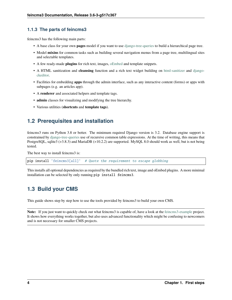#### **1.1.3 The parts of feincms3**

feincms3 has the following main parts:

- A base class for your own **pages** model if you want to use [django-tree-queries](https://github.com/matthiask/django-tree-queries) to build a hierarchical page tree.
- Model **mixins** for common tasks such as building several navigation menus from a page tree, multilingual sites and selectable templates.
- A few ready-made **plugins** for rich text, images, [oEmbed](http://oembed.com) and template snippets.
- A HTML sanitization and **cleansing** function and a rich text widget building on [html-sanitizer](https://github.com/matthiask/html-sanitizer) and [django](https://github.com/django-ckeditor/django-ckeditor)[ckeditor.](https://github.com/django-ckeditor/django-ckeditor)
- Facilities for embedding **apps** through the admin interface, such as any interactive content (forms) or apps with subpages (e.g. an articles app).
- A **renderer** and associated helpers and template tags.
- **admin** classes for visualizing and modifying the tree hierarchy.
- Various utilities (**shortcuts** and **template tags**).

# <span id="page-7-0"></span>**1.2 Prerequisites and installation**

feincms3 runs on Python 3.8 or better. The minimum required Django version is 3.2. Database engine support is constrained by [django-tree-queries](https://github.com/matthiask/django-tree-queries) use of recursive common table expressions. At the time of writing, this means that PostgreSQL, sqlite3 (>3.8.3) and MariaDB (>10.2.2) are supported. MySQL 8.0 should work as well, but is not being tested.

The best way to install feincms3 is:

pip install 'feincms3[all]' # Quote the requirement to escape globbing

This installs all optional dependencies as required by the bundled rich text, image and oEmbed plugins. A more minimal installation can be selected by only running pip install feincms3.

# <span id="page-7-1"></span>**1.3 Build your CMS**

This guide shows step by step how to use the tools provided by feincms3 to build your own CMS.

**Note:** If you just want to quickly check out what feincms3 is capable of, have a look at the [feincms3-example](https://github.com/matthiask/feincms3-example) project. It shows how everything works together, but also uses advanced functionality which might be confusing to newcomers and is not necessary for smaller CMS projects.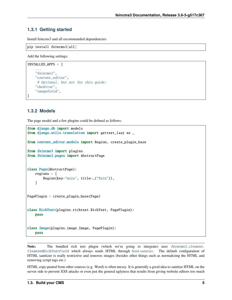#### **1.3.1 Getting started**

Install feincms3 and all recommended dependencies:

```
pip install feincms3[all]
```
Add the following settings:

```
INSTALLED_APPS = [
    ...
    "feincms3",
    "content_editor",
     # Optional, but not for this guide:
    "ckeditor",
    "imagefield",
]
```
#### **1.3.2 Models**

The page model and a few plugins could be defined as follows:

```
from django.db import models
from django.utils.translation import gettext_lazy as _
from content_editor.models import Region, create_plugin_base
from feincms3 import plugins
from feincms3.pages import AbstractPage
class Page(AbstractPage):
   regions = [
        Region(key="main", title=_("Main")),
   ]
PagePlugin = create_plugin_base(Page)
class RichText(plugins.richtext.RichText, PagePlugin):
   pass
class Image(plugins.image.Image, PagePlugin):
   pass
```
Note: The bundled rich text plugin (which we're going to integrate) uses *[feincms3.cleanse.](#page-56-1)* [CleansedRichTextField](#page-56-1) which always sends HTML through [html-sanitizer.](https://pypi.org/project/html-sanitizer) The default configuration of HTML sanitizer is really restrictive and removes images (besides other things such as normalizing the HTML and removing script tags etc.)

HTML copy-pasted from other sources (e.g. Word) is often messy. It is generally a good idea to sanitize HTML on the server side to prevent XSS attacks or even just the general uglyness that results from giving website editors too much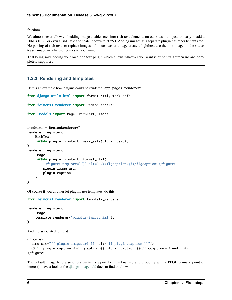freedom.

We almost never allow embedding images, tables etc. into rich text elements on our sites. It is just too easy to add a 10MB JPEG or even a BMP file and scale it down to 50x50. Adding images as a separate plugin has other benefits too: No parsing of rich texts to replace images, it's much easier to e.g. create a lightbox, use the first image on the site as teaser image or whatever comes to your mind.

That being said, adding your own rich text plugin which allows whatever you want is quite straightforward and completely supported.

#### **1.3.3 Rendering and templates**

Here's an example how plugins could be rendered, app.pages.renderer:

```
from django.utils.html import format_html, mark_safe
from feincms3.renderer import RegionRenderer
from .models import Page, RichText, Image
renderer = RegionRenderer()
renderer.register(
    RichText,
    lambda plugin, context: mark_safe(plugin.text),
\lambdarenderer.register(
    Image,
    lambda plugin, context: format_html(
        '<figure><img src="{}" alt=""/><figcaption>{}</figcaption></figure>',
        plugin.image.url,
        plugin.caption,
    ),
)
```
Of course if you'd rather let plugins use templates, do this:

```
from feincms3.renderer import template_renderer
renderer.register(
   Image,
    template_renderer("plugins/image.html"),
)
```
And the associated template:

```
<figure>
  <img src="{{ plugin.image.url }}" alt="{{ plugin.caption }}"/>
  {% if plugin.caption %}<figcaption>{{ plugin.caption }}</figcaption>{% endif %}
\langlefigure\rangle
```
The default image field also offers built-in support for thumbnailing and cropping with a PPOI (primary point of interest); have a look at the [django-imagefield](https://django-imagefield.readthedocs.io) docs to find out how.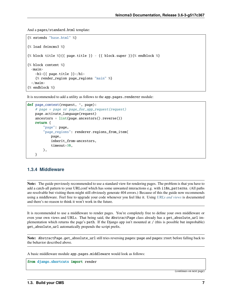And a pages/standard.html template:

```
{% extends "base.html" %}
{% load feincms3 %}
{% block title %}{{ page.title }} - {{ block.super }}{% endblock %}
{% block content %}
  <main>
    \langle h1\rangle{{ page.title }}\langle h1\rangle{% render_region page_regions "main" %}
  \langle /main\rangle{% endblock %}
```
It is recommended to add a utility as follows to the app.pages.renderer module:

```
def page_context(request, *, page):
   # page = page or page_for_app_request(request)
   page.activate_language(request)
   ancestors = list(page.ancestors().reverse())
   return {
        "page": page,
        "page_regions": renderer.regions_from_item(
            page,
            inherit_from=ancestors,
            timeout=30,
       ),
   }
```
#### **1.3.4 Middleware**

**Note:** The guide previously recommended to use a standard view for rendering pages. The problem is that you have to add a catch-all pattern to your URLconf which has some unwanted interactions e.g. with i18n\_patterns. (All paths are resolvable but visiting them might still obviously generate 404 errors.) Because of this the guide now recommends using a middleware. Feel free to upgrade your code whenever you feel like it. Using *[URLs and views](#page-32-0)* is documented and there's no reason to think it won't work in the future.

It is recommended to use a middleware to render pages. You're completely free to define your own middleware or even your own views and URLs. That being said, the AbstractPage class already has a get\_absolute\_url implementation which returns the page's path. If the Django app isn't mounted at  $/$  (this is possible but improbable) get\_absolute\_url automatically prepends the script prefix.

**Note:** AbstractPage.get\_absolute\_url still tries reversing pages:page and pages:root before falling back to the behavior described above.

A basic middleware module app.pages.middleware would look as follows:

from django.shortcuts import render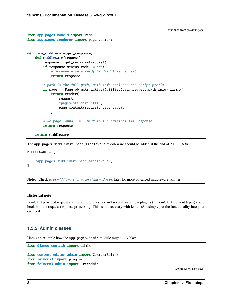```
from app.pages.models import Page
from app.pages.renderer import page_context
def page_middleware(get_response):
    def middleware(request):
        response = get_response(request)
        if response.status_code != 404:
            # Someone else already handled this request
            return response
        # path is the full path, path_info excludes the script prefix.
        if page := Page.objects.active().filter(path=request.path_info).first():
            return render(
                request,
                "pages/standard.html",
                page_context(request, page=page),
            )
        # No page found, fall back to the original 404 response
        return response
   return middleware
```
The app.pages.middleware.page\_middleware middleware should be added at the end of MIDDLEWARE:

```
MIDDLEWARE = \Gamma...
     "app.pages.middleware.page_middleware",
\mathbf{I}
```
**Note:** Check *[Root middleware for pages \(feincms3.root\)](#page-66-0)* later for more advanced middleware utilities.

#### **Historical note**

[FeinCMS](https://github.com/feincms/feincms) provided request and response processors and several ways how plugins (in FeinCMS: content types) could hook into the request-response processing. This isn't necessary with feincms3 – simply put the functionality into your own code.

#### **1.3.5 Admin classes**

Here's an example how the app.pages.admin module might look like:

```
from django.contrib import admin
from content_editor.admin import ContentEditor
from feincms3 import plugins
from feincms3.admin import TreeAdmin
```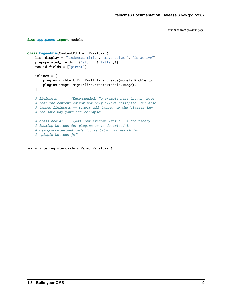```
(continued from previous page)
```

```
from app.pages import models
class PageAdmin(ContentEditor, TreeAdmin):
   list_display = ["indented_title", "move_column", "is_active"]
   prepopulated_fields = {"slug": ("title",)}
   raw_id_fields = ["parent"]
   inlines = [
       plugins.richtext.RichTextInline.create(models.RichText),
       plugins.image.ImageInline.create(models.Image),
   ]
   # fieldsets = ... (Recommended! No example here though. Note
   # that the content editor not only allows collapsed, but also
   # tabbed fieldsets -- simply add 'tabbed' to the 'classes' key
   # the same way you'd add 'collapse'.
   # class Media: ... (Add font-awesome from a CDN and nicely
   # looking buttons for plugins as is described in
   # django-content-editor's documentation -- search for
    # "plugin_buttons.js")
admin.site.register(models.Page, PageAdmin)
```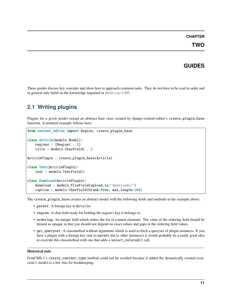#### **CHAPTER**

# **GUIDES**

<span id="page-14-0"></span>These guides discuss key concepts and show how to approach common tasks. They do not have to be read in order and in general only build on the knowledge imparted in *[Build your CMS](#page-7-1)*.

# <span id="page-14-1"></span>**2.1 Writing plugins**

Plugins for a given model extend an abstract base class created by django-content-editor's create\_plugin\_base function. A minimal example follows here:

```
from content_editor import Region, create_plugin_base
class Article(models.Model):
   regions = [Region(...)]title = models.CharField(...)ArticlePlugin = create_plugin_base(Article)
class Text(ArticlePlugin):
   text = models.TextField()
class Download(ArticlePlugin):
    download = models.FileField(upload_to="downloads/")
    caption = models.CharField(blank=True, max_length=200)
```
The create\_plugin\_base creates an abstract model with the following fields and methods in the example above:

- parent: A foreign key to Article.
- region: A char field ready for holding the region's key it belongs to.
- ordering: An integer field which orders the list of content elements. The value of the ordering field should be treated as opaque in that you should not depend on exact values and gaps in the ordering field values.
- get\_queryset: A classmethod without arguments which is used to fetch a queryset of plugin instances. If you have a plugin with a foreign key (not to parent but to other instances) it would probably be a really good idea to override this classmethod with one that adds a select\_related() call.

#### **Historical note**

FeinCMS 1's create\_content\_type method could not be avoided because it added the dynamically created (concrete!) model to a few lists for bookkeeping.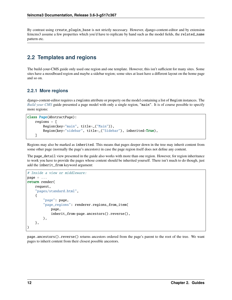By contrast using create\_plugin\_base is not strictly necessary. However, django-content-editor and by extension feincms3 assume a few properties which you'd have to replicate by hand such as the model fields, the related\_name pattern etc.

# <span id="page-15-0"></span>**2.2 Templates and regions**

The build-your-CMS guide only used one region and one template. However, this isn't sufficient for many sites. Some sites have a moodboard region and maybe a sidebar region; some sites at least have a different layout on the home page and so on.

#### <span id="page-15-1"></span>**2.2.1 More regions**

django-content-editor requires a regions attribute or property on the model containing a list of Region instances. The *[Build your CMS](#page-7-1)* guide presented a page model with only a single region, "main". It is of course possible to specify more regions:

```
class Page(AbstractPage):
   regions = [
        Region(key="main", title=_("Main")),
        Region(key="sidebar", title=_("Sidebar"), inherited=True),
   ]
```
Regions may also be marked as inherited. This means that pages deeper down in the tree may inherit content from some other page (normally the page's ancestors) in case the page region itself does not define any content.

The page\_detail view presented in the guide also works with more than one region. However, for region inheritance to work you have to provide the pages whose content should be inherited yourself. There isn't much to do though, just add the inherit\_from keyword argument:

```
# Inside a view or middleware:
page = ...return render(
    request,
    "pages/standard.html",
    {
        "page": page,
        "page_regions": renderer.regions_from_item(
            page,
            inherit_from=page.ancestors().reverse(),
        ),
    },
)
```
page.ancestors().reverse() returns ancestors ordered from the page's parent to the root of the tree. We want pages to inherit content from their closest possible ancestors.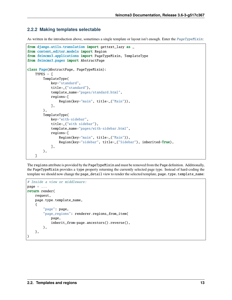#### **2.2.2 Making templates selectable**

As written in the introduction above, sometimes a single template or layout isn't enough. Enter the [PageTypeMixin](#page-52-0):

```
from django.utils.translation import gettext_lazy as _
from content_editor.models import Region
from feincms3.applications import PageTypeMixin, TemplateType
from feincms3.pages import AbstractPage
class Page(AbstractPage, PageTypeMixin):
   TYPES = \GammaTemplateType(
            key="standard",
            title=_("standard"),
            template_name="pages/standard.html",
            regions=[
                Region(key="main", title=_("Main")),
            ],
        ),
        TemplateType(
            key="with-sidebar",
            title=_("with sidebar"),
            template_name="pages/with-sidebar.html",
            regions=[
                Region(key="main", title=_("Main")),
                Region(key="sidebar", title=_("Sidebar"), inherited=True),
            ],
       ),
   ]
```
The regions attribute is provided by the PageTypeMixin and must be removed from the Page definition. Additionally, the PageTypeMixin provides a type property returning the currently selected page type. Instead of hard-coding the template we should now change the page\_detail view to render the selected template, page.type.template\_name:

```
# Inside a view or middleware:
page = ...return render(
    request,
    page.type.template_name,
    {
        "page": page,
        "page_regions": renderer.regions_from_item(
            page,
            inherit_from=page.ancestors().reverse(),
        ),
    },
)
```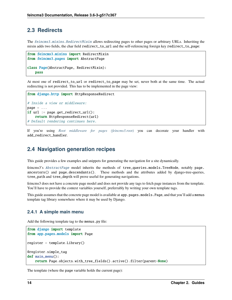### <span id="page-17-0"></span>**2.3 Redirects**

The [feincms3.mixins.RedirectMixin](#page-59-0) allows redirecting pages to other pages or arbitrary URLs. Inheriting the mixin adds two fields, the char field redirect\_to\_url and the self-referencing foreign key redirect\_to\_page:

```
from feincms3.mixins import RedirectMixin
from feincms3.pages import AbstractPage
class Page(AbstractPage, RedirectMixin):
   pass
```
At most one of redirect\_to\_url or redirect\_to\_page may be set, never both at the same time. The actual redirecting is not provided. This has to be implemented in the page view:

```
from django.http import HttpResponseRedirect
# Inside a view or middleware:
page = \ldotsif url := page.get_redirect_url():
    return HttpResponseRedirect(url)
# Default rendering continues here.
```
If you're using *[Root middleware for pages \(feincms3.root\)](#page-66-0)* you can decorate your handler with add\_redirect\_handler.

# <span id="page-17-1"></span>**2.4 Navigation generation recipes**

This guide provides a few examples and snippets for generating the navigation for a site dynamically.

feincms3's [AbstractPage](#page-60-1) model inherits the methods of tree\_queries.models.TreeNode, notably page. ancestors() and page.descendants(). These methods and the attributes added by django-tree-queries, tree\_path and tree\_depth will prove useful for generating navigations.

feincms3 does not have a concrete page model and does not provide any tags to fetch page instances from the template. You'll have to provide the context variables yourself, preferrably by writing your own template tags.

This guide assumes that the concrete page model is available at app.pages.models.Page, and that you'll add a menus template tag library somewhere where it may be used by Django.

#### **2.4.1 A simple main menu**

Add the following template tag to the menus.py file:

```
from django import template
from app.pages.models import Page
register = template.Library()@register.simple_tag
def main_menu():
   return Page.objects.with_tree_fields().active().filter(parent=None)
```
The template (where the page variable holds the current page):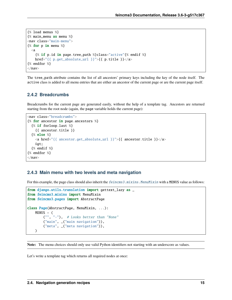```
{% load menus %}
{% main_menu as menu %}
<nav class="main-menu">
{% for p in menu %}
  \langle a{% if p.id in page.tree_path %}class="active"{% endif %}
    href="{{ p.get_absolute_url }}">{{ p.title }}</a>
{% endfor %}
\langle/nav>
```
The tree\_path attribute contains the list of all ancestors' primary keys including the key of the node itself. The active class is added to all menu entries that are either an ancestor of the current page or are the current page itself.

#### **2.4.2 Breadcrumbs**

Breadcrumbs for the current page are generated easily, without the help of a template tag. Ancestors are returned starting from the root node (again, the page variable holds the current page):

```
<nav class="breadcrumbs">
{% for ancestor in page.ancestors %}
  {% if forloop.last %}
    {{ ancestor.title }}
  {% else %}
    <a href="{{ ancestor.get_absolute_url }}">{{ ancestor.title }}</a>
    >
  {% endif %}
{% endfor %}
\langle/nav\rangle
```
#### **2.4.3 Main menu with two levels and meta navigation**

For this example, the page class should also inherit the *[feincms3.mixins.MenuMixin](#page-59-1)* with a MENUS value as follows:

```
from django.utils.translation import gettext_lazy as _
from feincms3.mixins import MenuMixin
from feincms3.pages import AbstractPage
class Page(AbstractPage, MenuMixin, ...):
   MENUS = (("", "–"), # Looks better than "None"
        ("main", _("main navigation")),
        ("meta", _("meta navigation")),
   )
```
**Note:** The menu choices should only use valid Python identifiers not starting with an underscore as values.

Let's write a template tag which returns all required nodes at once: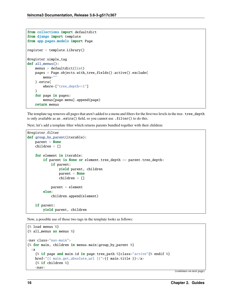```
from collections import defaultdict
from django import template
from app.pages.models import Page
register = template.Library()
@register.simple_tag
def all_menus():
    menus = defaultdict(list)
    pages = Page.objects.with_tree_fields().active().exclude(
        menu=""
    ).extra(
        where=["tree_depth<=1"]
    \lambdafor page in pages:
        menus[page.menu].append(page)
    return menus
```
The template tag removes all pages that aren't added to a menu and filters for the first two levels in the tree. tree\_depth is only available as an .extra() field, so you cannot use .filter() to do this.

Next, let's add a template filter which returns parents bundled together with their children:

```
@register.filter
def group_by_parent(iterable):
   parent = Nonechildren = []
   for element in iterable:
        if parent is None or element.tree_depth == parent.tree_depth:
            if parent:
                yield parent, children
                parent = Nonechildren = []
            parent = element
        else:
            children.append(element)
   if parent:
        yield parent, children
```
Now, a possible use of those two tags in the template looks as follows:

```
{% load menus %}
{% all_menus as menus %}
<nav class="nav-main">
{% for main, children in menus.main|group_by_parent %}
  \lta
    {% if page and main.id in page.tree_path %}class="active"{% endif %}
   href="{{ main.get_absolute_url }}">{{ main.title }}</a>
    {% if children %}
    <nav>
```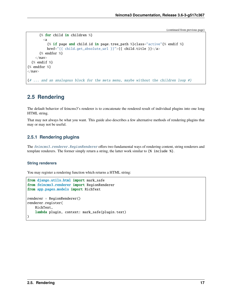```
{% for child in children %}
        <a
          {% if page and child.id in page.tree_path %}class="active"{% endif %}
          href="{{ child.get_absolute_url }}">{{ child.title }}</a>
      {% endfor %}
    \langle/nav>{% endif %}
{% endfor %}
\langle/nav\rangle{# ... and an analogous block for the meta menu, maybe without the children loop #}
```
# <span id="page-20-0"></span>**2.5 Rendering**

The default behavior of feincms3's renderer is to concatenate the rendered result of individual plugins into one long HTML string.

That may not always be what you want. This guide also describes a few alternative methods of rendering plugins that may or may not be useful.

#### **2.5.1 Rendering plugins**

The feincms3. renderer. RegionRenderer offers two fundamental ways of rendering content, string renderers and template renderers. The former simply return a string, the latter work similar to {% include %}.

#### **String renderers**

You may register a rendering function which returns a HTML string:

```
from django.utils.html import mark_safe
from feincms3.renderer import RegionRenderer
from app.pages.models import RichText
renderer = RegionRenderer()
renderer.register(
    RichText,
    lambda plugin, context: mark_safe(plugin.text)
)
```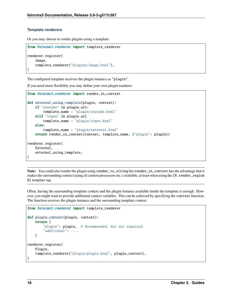#### **Template renderers**

Or you may choose to render plugins using a template:

```
from feincms3.renderer import template_renderer
renderer.register(
   Image,
    template_renderer("plugins/image.html"),
)
```
The configured template receives the plugin instance as "plugin".

If you need more flexibility you may define your own plugin renderer:

```
from feincms3.renderer import render_in_context
def external_using_template(plugin, context):
   if "youtube" in plugin.url:
        template_name = "plugin/youtube.html"
   elif "vimeo" in plugin.url
        template_name = "plugin/vimeo.html"
   else:
        template_name = "plugin/external.html"
   return render_in_context(context, template_name, {"plugin": plugin})
renderer.register(
   External,
   external_using_template,
)
```
**Note:** You could also render the plugin using render\_to\_string but render\_in\_context has the advantage that it makes the surrounding context (using all context processors etc.) available, at least when using the {% render\_region %} template tag.

Often, having the surrounding template context and the plugin instance available inside the template is enough. However, you might want to provide additional context variables. This can be achieved by specifying the context function. The function receives the plugin instance and the surrounding template context:

```
from feincms3.renderer import template_renderer
def plugin_context(plugin, context):
    return {
        "plugin": plugin, # Recommended, but not required.
        "additional": ....
    }
renderer.register(
    Plugin,
    template_renderer("plugin/plugin.html", plugin_context),
)
```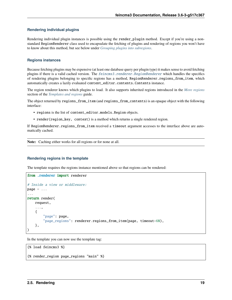#### **Rendering individual plugins**

Rendering individual plugin instances is possible using the render\_plugin method. Except if you're using a nonstandard RegionRenderer class used to encapsulate the fetching of plugins and rendering of regions you won't have to know about this method, but see below under *[Grouping plugins into subregions](#page-23-0)*.

#### **Regions instances**

Because fetching plugins may be expensive (at least one database query per plugin type) it makes sense to avoid fetching plugins if there is a valid cached version. The [feincms3.renderer.RegionRenderer](#page-65-1) which handles the specifics of rendering plugins belonging to specific regions has a method, RegionRenderer.regions\_from\_item, which automatically creates a lazily evaluated content\_editor.contents.Contents instance.

The region renderer knows which plugins to load. It also supports inherited regions introduced in the *[More regions](#page-15-1)* section of the *[Templates and regions](#page-15-0)* guide.

The object returned by regions\_from\_item (and regions\_from\_contents) is an opaque object with the following interface:

- regions is the list of content\_editor.models.Region objects.
- render(region\_key, context) is a method which returns a single rendered region.

If RegionRenderer.regions\_from\_item received a timeout argument accesses to the interface above are automatically cached.

**Note:** Caching either works for all regions or for none at all.

#### **Rendering regions in the template**

The template requires the regions instance mentioned above so that regions can be rendered:

```
from .renderer import renderer
# Inside a view or middleware:
page = ......
return render(
    request,
    ...,
    {
        "page": page,
        "page_regions": renderer.regions_from_item(page, timeout=60),
    },
)
```
In the template you can now use the template tag:

```
{% load feincms3 %}
{% render_region page_regions "main" %}
```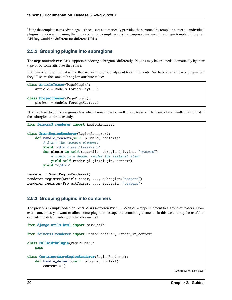Using the template tag is advantageous because it automatically provides the surrounding template context to individual plugins' renderers, meaning that they could for example access the request instance in a plugin template if e.g. an API key would be different for different URLs.

#### <span id="page-23-0"></span>**2.5.2 Grouping plugins into subregions**

The RegionRenderer class supports rendering subregions differently. Plugins may be grouped automatically by their type or by some attribute they share.

Let's make an example. Assume that we want to group adjacent teaser elements. We have several teaser plugins but they all share the same subregion attribute value:

```
class ArticleTeaser(PagePlugin):
   article = models. For eigenKey(...)class ProjectTeaser(PagePlugin):
   project = models.ForeignKey(...)
```
Next, we have to define a regions class which knows how to handle those teasers. The name of the handler has to match the subregion attribute exactly:

```
from feincms3.renderer import RegionRenderer
class SmartRegionRenderer(RegionRenderer):
   def handle_teasers(self, plugins, context):
        # Start the teasers element:
        yield '<div class="teasers">'
        for plugin in self.takewhile_subregion(plugins, "teasers"):
            # items is a deque, render the leftmost item:
            yield self.render_plugin(plugin, context)
        yield "</div>"
renderer = SmartRegionRenderer()
renderer.register(ArticleTeaser, ..., subregion="teasers")
renderer.register(ProjectTeaser, ..., subregion="teasers")
```
#### **2.5.3 Grouping plugins into containers**

The previous example added an <div class="teasers">...</div> wrapper element to a group of teasers. However, sometimes you want to allow some plugins to escape the containing element. In this case it may be useful to override the default subregions handler instead:

```
from django.utils.html import mark_safe
from feincms3.renderer import RegionRenderer, render_in_context
class FullWidthPlugin(PagePlugin):
    pass
class ContainerAwareRegionRenderer(RegionRenderer):
    def handle_default(self, plugins, context):
        content = <math>[
```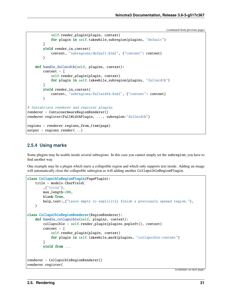```
self.render_plugin(plugin, context)
            for plugin in self.takewhile_subregion(plugins, "default")
        \mathbf{I}yield render_in_context(
            context, "subregions/default.html", {"content": content}
        )
    def handle_fullwidth(self, plugins, context):
        content = <math>\Gamma</math>self.render_plugin(plugin, context)
            for plugin in self.takewhile_subregion(plugins, "fullwidth")
        \mathbf{1}yield render_in_context(
            context, "subregions/fullwidth.html", {"content": content}
        )
# Instantiate renderer and register plugins
renderer = ContainerAwareRegionRenderer()
renderer.register(FullWidthPlugin, ..., subregion="fullwidth")
regions = renderer.regions_from_item(page)
output = regions.render(...)
```
### **2.5.4 Using marks**

Some plugins may be usable inside several subregions. In this case you cannot simply set the subregion; you have to find another way.

One example may be a plugin which starts a collapsible region and which only supports text inside. Adding an image will automatically close the collapsible subregion as will adding another CollapsibleRegionPlugin.

```
class CollapsibleRegionPlugin(PagePlugin):
   title = models.CharField(
        _{-}("title"),
       max_length=200,
       blank=True,
       help_text=_("Leave empty to explicitly finish a previously opened region."),
   )
class CollapsibleRegionRenderer(RegionRenderer):
   def handle_collapsible(self, plugins, context):
        collapsible = self</del>>.render\_plugin(plugin, popleft(), context)content =self.render_plugin(plugin, context)
            for plugin in self.takewhile_mark(plugins, "collapsible-content")
        ]
        yield from ...
renderer = CollapsibleRegionRenderer()
renderer.register(
```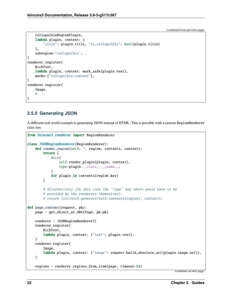```
CollapsibleRegionPlugin,
    lambda plugin, context: {
        "title": plugin.title, "is_collapsible": bool(plugin.title)
    },
    subregion="collapsible",
)
renderer.register(
    RichText,
    lambda plugin, context: mark_safe(plugin.text),
    marks={"collapsible-content"},
)
renderer.register(
    Image,
    # ...
)
```
### **2.5.5 Generating JSON**

A different real-world example is generating JSON instead of HTML. This is possible with a custom RegionRenderer class too:

```
from feincms3.renderer import RegionRenderer
class JSONRegionRenderer(RegionRenderer):
    def render_region(self, *, region, contents, context):
        return [
            dict(
                self.render_plugin(plugin, context),
                type=plugin.__class__.__name__,
            \lambdafor plugin in contents[region.key]
        ]
        # Alternatively (In this case the ``type`` key above would have to be
        # provided by the renderers themselves):
        # return list(self.generate(self.contents[region], context))
def page_content(request, pk):
    page = get_object_or_404(Page, pk=pk)
    renderer = JSONRegionRenderer()
    renderer.register(
        RichText,
        lambda plugin, context: {"text": plugin.text},
    \lambdarenderer.register(
        Image,
        lambda plugin, context: {"image": request.build_absolute_uri(plugin.image.url)},
    )
    regions = renderer.regions_from_item(page, timeout=60)
```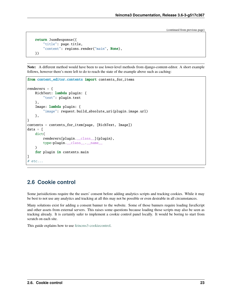```
return JsonResponse({
    "title": page.title,
    "content": regions.render("main", None),
})
```
**Note:** A different method would have been to use lower-level methods from django-content-editor. A short example follows, however there's more left to do to reach the state of the example above such as caching:

```
from content_editor.contents import contents_for_items
renderers = {
    RichText: lambda plugin: {
        "text": plugin.text
    },
    Image: lambda plugin: {
        "image": request.build_absolute_uri(plugin.image.url)
    },
}
contents = contents_for_item(page, [RichText, Image])
data = [dict(
        renderers[plugin.__class__](plugin),
        type=plugin.__class__.__name__
    \Deltafor plugin in contents.main
]
# etc...
```
### <span id="page-26-0"></span>**2.6 Cookie control**

Some jurisidictions require the the users' consent before adding analytics scripts and tracking cookies. While it may be best to not use any analytics and tracking at all this may not be possible or even desirable in all circumstances.

Many solutions exist for adding a consent banner to the website. Some of those banners require loading JavaScript and other assets from external servers. This raises some questions because loading those scripts may also be seen as tracking already. It is certainly safer to implement a cookie control panel locally. It would be boring to start from scratch on each site.

This guide explains how to use [feincms3-cookiecontrol.](https://github.com/feinheit/feincms3-cookiecontrol/)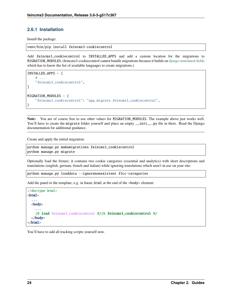#### **2.6.1 Installation**

Install the package:

venv/bin/pip install feincms3-cookiecontrol

Add feincms3\_cookiecontrol to INSTALLED\_APPS and add a custom location for the migrations to MIGRATION\_MODULES. (feincms3-cookiecontrol cannot bundle migrations because it builds on [django-translated-fields](https://github.com/matthiask/django-translated-fields) which has to know the list of available languages to create migrations.)

```
INSTALLED_APPS = [
    # ...
    "feincms3_cookiecontrol",
]
MIGRATION_MODULES = {
    "feincms3_cookiecontrol": "app.migrate.feincms3_cookiecontrol",
}
```
**Note:** You are of course free to use other values for MIGRATION\_MODULES. The example above just works well. You'll have to create the migrate folder yourself and place an empty \_\_init\_\_.py file in there. Read the Django documentation for additional guidance.

Create and apply the initial migration:

```
python manage.py makemigrations feincms3_cookiecontrol
python manage.py migrate
```
Optionally load the fixture; it contains two cookie categories (essential and analytics) with short descriptions and translations (english, german, french and italian) while ignoring translations which aren't in use on your site:

```
python manage.py loaddata --ignorenonexistent f3cc-categories
```
Add the panel to the template, e.g. in base.html at the end of the <br/>body> element:

```
<!doctype html>
<html>
  ...
  <body>
    ...
    {% load feincms3_cookiecontrol %}{% feincms3_cookiecontrol %}
  </body>
\langle/html\rangle
```
You'll have to add all tracking scripts yourself now.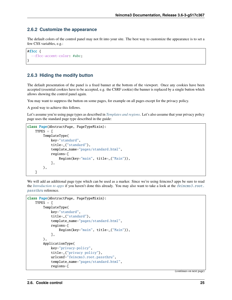#### **2.6.2 Customize the appearance**

The default colors of the control panel may not fit into your site. The best way to customize the appearance is to set a few CSS variables, e.g.:

```
#f3cc {
  --f3cc-accent-color: #abc;
}
```
#### **2.6.3 Hiding the modify button**

The default presentation of the panel is a fixed banner at the bottom of the viewport. Once any cookies have been accepted (essential cookies have to be accepted, e.g. the CSRF cookie) the banner is replaced by a single button which allows showing the control panel again.

You may want to suppress the button on some pages, for example on all pages except for the privacy policy.

A good way to achieve this follows.

Let's assume you're using page types as described in *[Templates and regions](#page-15-0)*. Let's also assume that your privacy policy page uses the standard page type described in the guide:

```
class Page(AbstractPage, PageTypeMixin):
   TYPES = \GammaTemplateType(
            key="standard",
            title=_("standard"),
            template_name="pages/standard.html",
            regions=[
                Region(key="main", title=_("Main")),
            ],
        ),
   ]
```
We will add an additional page type which can be used as a marker. Since we're using feincms3 apps be sure to read the *[Introduction to apps](#page-42-1)* if you haven't done this already. You may also want to take a look at the [feincms3.root.](#page-67-0) [passthru](#page-67-0) reference.

```
class Page(AbstractPage, PageTypeMixin):
   TYPES = \GammaTemplateType(
            key="standard",
            title=_("standard"),
            template_name="pages/standard.html",
            regions=[
                Region(key="main", title=_("Main")),
            ],
        ),
        ApplicationType(
            key="privacy-policy",
            title=_("privacy policy"),
            urlconf="feincms3.root.passthru",
            template_name="pages/standard.html",
            regions=[
```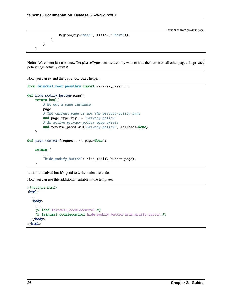```
Region(key="main", title=_("Main")),
        ],
    ),
]
```
**Note:** We cannot just use a new TemplateType because we **only** want to hide the button on all other pages if a privacy policy page actually exists!

Now you can extend the page\_context helper:

```
from feincms3.root.passthru import reverse_passthru
def hide_modify_button(page):
   return bool(
        # We got a page instance
       page
        # The current page is not the privacy-policy page
        and page.type.key != "privacy-policy"
        # An active privacy policy page exists
        and reverse_passthru("privacy-policy", fallback=None)
   )
def page_context(request, *, page=None):
    ...
   return {
        ...
        "hide_modify_button": hide_modify_button(page),
   }
```
It's a bit involved but it's good to write defensive code.

Now you can use this additional variable in the template:

```
<!doctype html>
<html>
  ...
  <body>
    ...
    {% load feincms3_cookiecontrol %}
    {% feincms3_cookiecontrol hide_modify_button=hide_modify_button %}
  </body>
\langle/html\rangle
```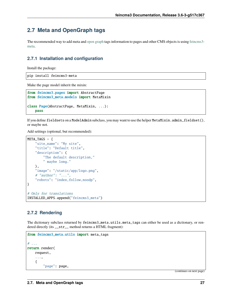# <span id="page-30-0"></span>**2.7 Meta and OpenGraph tags**

The recommended way to add meta and [open graph](http://ogp.me) tags information to pages and other CMS objects is using [feincms3](https://github.com/matthiask/feincms3-meta) [meta.](https://github.com/matthiask/feincms3-meta)

#### **2.7.1 Installation and configuration**

Install the package:

```
pip install feincms3-meta
```
Make the page model inherit the mixin:

```
from feincms3.pages import AbstractPage
from feincms3_meta.models import MetaMixin
class Page(AbstractPage, MetaMixin, ...):
   pass
```
If you define fieldsets on a ModelAdmin subclass, you may want to use the helper MetaMixin.admin\_fieldset(), or maybe not.

Add settings (optional, but recommended):

```
META_TAGS = {"site_name": "My site",
    "title": "Default title",
   "description": (
        "The default description,"
        " maybe long."
   ),
   "image": "/static/app/logo.png",
   # "author": "...",
    "robots": "index,follow,noodp",
}
# Only for translations
INSTALLED_APPS.append("feincms3_meta")
```
#### **2.7.2 Rendering**

The dictionary subclass returned by feincms3\_meta.utils.meta\_tags can either be used as a dictionary, or rendered directly (its \_\_str\_\_ method returns a HTML fragment):

```
from feincms3_meta.utils import meta_tags
# ...
return render(
   request,
    ...,
    {
        "page": page,
```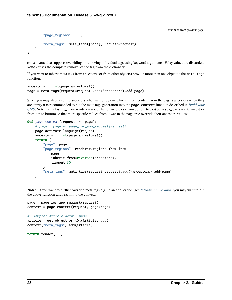```
"page_regions": ...,
        ...
        "meta_tags": meta_tags([page], request=request),
    },
)
```
meta\_tags also supports overriding or removing individual tags using keyword arguments. Falsy values are discarded, None causes the complete removal of the tag from the dictionary.

If you want to inherit meta tags from ancestors (or from other objects) provide more than one object to the meta\_tags function:

```
anceators = list(page.anceators())tags = meta_tags(request=request).add(*ancestors).add(page)
```
Since you may also need the ancestors when using regions which inherit content from the page's ancestors when they are empty it is recommended to put the meta tags generation into the page\_context function described in *[Build your](#page-7-1) [CMS](#page-7-1)*. Note that inherit\_from wants a reversed list of ancestors (from bottom to top) but meta\_tags wants ancestors from top to bottom so that more specific values from lower in the page tree override their ancestors values:

```
def page_context(request, *, page):
   # page = page or page_for_app_request(request)
   page.activate_language(request)
   anceators = list(page ancestors())return {
        "page": page,
        "page_regions": renderer.regions_from_item(
            page,
            inherit_from=reversed(ancestors),
            timeout=30,
       ),
        "meta_tags": meta_tags(request=request).add(*ancestors).add(page),
   }
```
**Note:** If you want to further override meta tags e.g. in an application (see *[Introduction to apps](#page-42-1)*) you may want to run the above function and reach into the context:

```
page = page_for_app_request(request)
context = page_context(request, page=page)
# Example: Article detail page
article = get_object_or_404(Article, ...)
context["meta_tags"].add(article)
```
return render(...)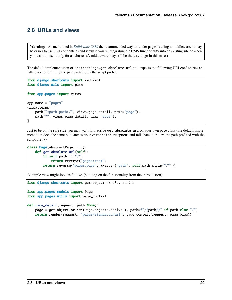# <span id="page-32-0"></span>**2.8 URLs and views**

**Warning:** As mentioned in *[Build your CMS](#page-7-1)* the recommended way to render pages is using a middleware. It may be easier to use URLconf entries and views if you're integrating the CMS functionality into an existing site or when you want to use it only for a subtree. (A middleware may still be the way to go in this case.)

The default implementation of AbstractPage.get\_absolute\_url still expects the following URLconf entries and falls back to returning the path prefixed by the script prefix:

```
from django.shortcuts import redirect
from django.urls import path
from app.pages import views
app_name = "pages"urlpatterns = [
   path("<path:path>/", views.page_detail, name="page"),
   path("", views.page_detail, name="root"),
]
```
Just to be on the safe side you may want to override get\_absolute\_url on your own page class (the default implementation does the same but catches NoReverseMatch exceptions and falls back to return the path prefixed with the script prefix):

```
class Page(AbstractPage, ...):
   def get_absolute_url(self):
       if self.path == "/":
            return reverse("pages:root")
       return reverse("pages:page", kwargs={"path": self.path.strip("/")})
```
A simple view might look as follows (building on the functionality from the introduction):

```
from django.shortcuts import get_object_or_404, render
from app.pages.models import Page
from app.pages.utils import page_context
def page_detail(request, path=None):
   page = get_object_or_404(Page.objects.active(), path=f"/{path}/" if path else "/")
   return render(request, "pages/standard.html", page_context(request, page=page))
```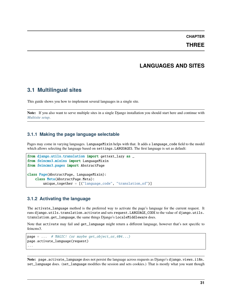**THREE**

# **LANGUAGES AND SITES**

### <span id="page-34-1"></span><span id="page-34-0"></span>**3.1 Multilingual sites**

This guide shows you how to implement several languages in a single site.

**Note:** If you also want to serve multiple sites in a single Django installation you should start here and continue with *[Multisite setup](#page-36-0)*.

#### **3.1.1 Making the page language selectable**

Pages may come in varying languages. LanguageMixin helps with that. It adds a language\_code field to the model which allows selecting the language based on settings.LANGUAGES. The first language is set as default:

```
from django.utils.translation import gettext_lazy as _
from feincms3.mixins import LanguageMixin
from feincms3.pages import AbstractPage
class Page(AbstractPage, LanguageMixin):
    class Meta(AbstractPage.Meta):
        unique_together = [("language_code", "translation_of")]
```
#### **3.1.2 Activating the language**

The activate\_language method is the preferred way to activate the page's language for the current request. It runs django.utils.translation.activate and sets request.LANGUAGE\_CODE to the value of django.utils. translation.get\_language, the same things Django's LocaleMiddleware does.

Note that activate may fail and get\_language might return a different language, however that's not specific to feincms3.

```
page = ... # MAGIC! (or maybe get\_object_or_404...)page.activate_language(request)
...
```
**Note:** page.activate\_language does not persist the language across requests as Django's django.views.i18n. set\_language does. (set\_language modifies the session and sets cookies.) That is mostly what you want though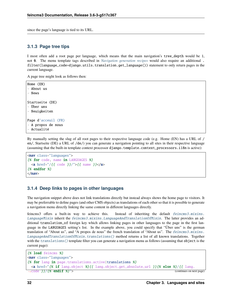since the page's language is tied to its URL.

#### **3.1.3 Page tree tips**

I most often add a root page per language, which means that the main navigation's tree\_depth would be 1, not 0. The menu template tags described in *[Navigation generation recipes](#page-17-1)* would also require an additional . filter(language\_code=django.utils.translation.get\_language()) statement to only return pages in the current language.

A page tree might look as follows then:

```
Home (EN)
- About us
- News
Startseite (DE)
- Über uns
- Neuigkeiten
Page d'acceuil (FR)
- A propos de nous
- Actualité
```
By manually setting the slug of all root pages to their respective language code (e.g. Home (EN) has a URL of / en/, Startseite (DE) a URL of /de/) you can generate a navigation pointing to all sites in their respective language (assuming that the built-in template context processor django.template.context\_processors.i18n is active):

```
<nav class="languages">
{% for code, name in LANGUAGES %}
  \langle a \ href='/\{\{\ code\ }\}\rangle''>\{\{\ name\ }\}\langle a\rangle{% endfor %}
\langle/nav\rangle
```
#### **3.1.4 Deep links to pages in other languages**

The navigation snippet above does not link translations directly but instead always shows the home page to visitors. It may be preferrable to define pages (and other CMS objects) as translations of each other so that it is possible to generate a navigation menu directly linking the same content in different languages directly.

feincms3 offers a built-in way to achieve this. Instead of inheriting the default [feincms3.mixins.](#page-59-2) [LanguageMixin](#page-59-2) inherit the [feincms3.mixins.LanguageAndTranslationOfMixin](#page-58-2). The latter provides an additional translation\_of foreign key which allows linking pages in other languages to the page in the first language in the LANGUAGES setting's list. In the example above, you could specify that "Über uns" is the german translation of "About us", and "A propos de nous" the french translation of "About us". The [feincms3.mixins.](#page-58-3) [LanguageAndTranslationOfMixin.translations\(\)](#page-58-3) method returns a list of all known translations. Together with the translations () template filter you can generate a navigation menu as follows (assuming that object is the current page):

```
{% load feincms %}
<nav class="languages">
{% for lang in page.translations.active|translations %}
 <a href="{% if lang.object %}{{ lang.object.get_absolute_url }}{% else %}/{{ lang.
\rightarrow code \frac{1}{2}/\frac{1}{8} endif \frac{1}{8}"> (continues on next page)
```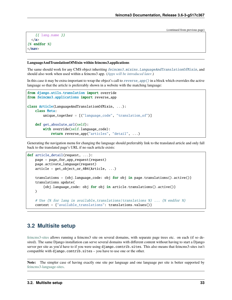```
{ {\} lang.name { }}\langlea>
{% endfor %}
\langle/nav\rangle
```
#### **LanguageAndTranslationOfMixin within feincms3.applications**

The same should work for any CMS object inheriting [feincms3.mixins.LanguageAndTranslationOfMixin](#page-58-0), and should also work when used within a feincms3 app. (*[Apps will be introduced later](#page-42-0)*.)

In this case it may be extra-important to wrap the object's call to [reverse\\_app\(\)](#page-55-0) in a block which overrides the active language so that the article is preferrably shown in a website with the matching language:

```
from django.utils.translation import override
from feincms3.applications import reverse_app
class Article(LanguageAndTranslationOfMixin, ...):
    class Meta:
        unique_together = [("language_code", "translation_of")]
   def get_absolute_url(self):
        with override(self.language_code):
            return reverse_app("articles", "detail", ...)
```
Generating the navigation menu for changing the language should preferrably link to the translated article and only fall back to the translated page's URL if no such article exists:

```
def article_detail(request, ...):
   page = page_for_app_request(request)
   page.activate_language(request)
   article = get_object_or_404(Article, ...)
   translations = {obj. language\_code: obj for obj in page. translations().active()}translations.update(
        {obj.language_code: obj for obj in article.translations().active()}
   )
   # Use {% for lang in available_translations|translations %} ... {% endfor %}
   context = {"available_translations": translations.values()}
```
# **3.2 Multisite setup**

[feincms3-sites](https://github.com/matthiask/feincms3-sites) allows running a feincms3 site on several domains, with separate page trees etc. on each (if so desired). The same Django installation can serve several domains with different content without having to start a Django server per site as you'd have to if you were using django.contrib.sites. This also means that feincms3-sites isn't compatible with django.contrib.sites – you have to use one or the other.

**Note:** The simpler case of having exactly one site per language and one language per site is better supported by [feincms3-language-sites.](https://github.com/matthiask/feincms3-language-sites)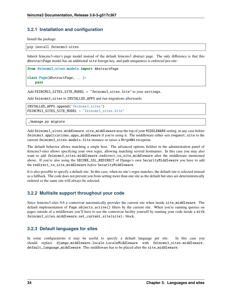## **3.2.1 Installation and configuration**

Install the package:

pip install feincms3-sites

Inherit feincms3-sites's page model instead of the default feincms3 abstract page. The only difference is that this AbstractPage model has an additional site foreign key, and path uniqueness is enforced per-site:

```
from feincms3_sites.models import AbstractPage
class Page(AbstractPage, ...):
   pass
```
Add FEINCMS3\_SITES\_SITE\_MODEL = "feincms3\_sites.Site" to your settings.

Add feincms3\_sites to INSTALLED\_APPS and run migrations afterwards:

INSTALLED\_APPS.append("feincms3\_sites") FEINCMS3\_SITES\_SITE\_MODEL = "feincms3\_sites.Site"

./manage.py migrate

Add feincms3\_sites.middleware.site\_middleware near the top of your MIDDLEWARE setting, in any case before feincms3.applications.apps\_middleware if you're using it. The middleware either sets request.site to the current feincms3\_sites.models.Site instance or raises a Http404 exception.

The default behavior allows matching a single host. The advanced options fieldset in the administration panel of feincms3-sites allows specifying your own regex, allowing matching several hostnames. In this case you may also want to add feincms3\_sites.middleware.redirect\_to\_site\_middleware after the middleware mentioned above. If you're also using the SECURE\_SSL\_REDIRECT of Django's own SecurityMiddleware you have to add the redirect\_to\_site\_middleware *before* SecurityMiddleware.

It is also possible to specify a default site. In this case, when no site's regex matches, the default site is selected instead as a fallback. The code does not prevent you from setting more than one site as the default but sites are deterministically ordered so the same site will always be selected.

## **3.2.2 Multisite support throughout your code**

Since feincms3-sites 0.6 a contextvar automatically provides the current site when inside site\_middleware. The default implementation of Page.objects.active() filters by the current site. When you're running queries on pages outside of a middleware you'll have to use the contextvar facility yourself by running your code inside a with feincms3\_sites.middleware.set\_current\_site(site): block.

## **3.2.3 Default languages for sites**

In some configurations it may be useful to specify a default language per site. In this case you should replace django.middleware.locale.LocaleMiddleware with feincms3\_sites.middleware. default\_language\_middleware. This middleware has to be placed after the site\_middleware.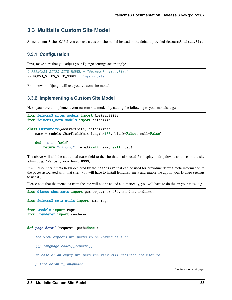# **3.3 Multisite Custom Site Model**

Since feincms3-sites 0.13.1 you can use a custom site model instead of the default provided feincms3\_sites.Site.

## **3.3.1 Configuration**

First, make sure that you adjust your Django settings accordingly:

```
# FEINCMS3_SITES_SITE_MODEL = "feincms3_sites.Site"
FEINCMS3_SITES_SITE_MODEL = "myapp.Site"
```
From now on, Django will use your custom site model.

## **3.3.2 Implementing a Custom Site Model**

Next, you have to implement your custom site model, by adding the following to your models, e.g.:

```
from feincms3_sites.models import AbstractSite
from feincms3_meta.models import MetaMixin
class CustomSite(AbstractSite, MetaMixin):
   name = models.CharField(max_length=100, blank=False, null=False)
    def \_str_str_ (self):return "{} ({})".format(self.name, self.host)
```
The above will add the additional name field to the site that is also used for display in dropdowns and lists in the site admin, e.g. MySite (localhost:8000).

It will also inherit meta fields declared by the MetaMixin that can be used for providing default meta information to the pages associated with that site. (you will have to install feincms3-meta and enable the app in your Django settings to use it.)

Please note that the metadata from the site will not be added automatically, you will have to do this in your view, e.g.

```
from django.shortcuts import get_object_or_404, render, redirect
from feincms3_meta.utils import meta_tags
from .models import Page
from .renderer import renderer
def page_detail(request, path=None):
    " ""The view expects uri paths to be formed as such
    [[/<language-code>][/<path>]]
    in case of an empty uri path the view will redirect the user to
    /<site.default_language/
```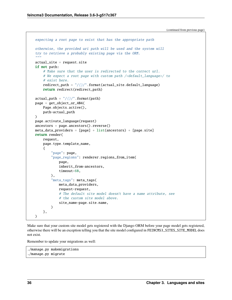```
expecting a root page to exist that has the appropriate path
otherwise, the provided uri path will be used and the system will
try to retrieve a probably existing page via the ORM.
^{\prime\prime\prime\prime\prime\prime\prime}actual_site = request.site
if not path:
    # Make sure that the user is redirected to the correct url.
    # We expect a root page with custom path /<default_language>/ to
    # exist here.
    redirect\_path = "\frac{{}}{\cdot}.format(actual_site.default_language)
    return redirect(redirect_path)
actual\_path = "\frac{{}}{\frac{{}}{\frac{{}}{\frac{{}}{\frac{{}}{\frac{{}}{2}}{\cdots}}} format(path)
page = get_object_or_404(
    Page.objects.active(),
    path=actual_path
)
page.activate_language(request)
anceators = page.ancestors() reverse()meta\_data\_provides = [page] + list(anceators) + [page.size]return render(
    request,
    page.type.template_name,
    {
         "page": page,
         "page_regions": renderer.regions_from_item(
             page,
             inherit_from=ancestors,
             timeout=60,
         ),
         "meta_tags": meta_tags(
             meta_data_providers,
             request=request,
             # The default site model doesn't have a name attribute, see
             # the custom site model above.
             site_name=page.site.name,
         )
    },
)
```
Make sure that your custom site model gets registered with the Django ORM before your page model gets registered, otherwise there will be an exception telling you that the site model configured in FEINCMS3\_SITES\_SITE\_MODEL does not exist.

Remember to update your migrations as well:

```
./manage.py makemigrations
./manage.py migrate
```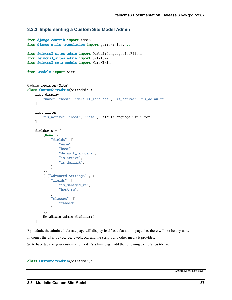## **3.3.3 Implementing a Custom Site Model Admin**

```
from django.contrib import admin
from django.utils.translation import gettext_lazy as _
from feincms3_sites.admin import DefaultLanguageListFilter
from feincms3_sites.admin import SiteAdmin
from feincms3_meta.models import MetaMixin
from .models import Site
@admin.register(Site)
class CustomSiteAdmin(SiteAdmin):
    list_display = [
        "name", "host", "default_language", "is_active", "is_default"
    ]
    list_filter = [
        "is_active", "host", "name", DefaultLanguageListFilter
    ]
    fieldsets = \Gamma(None, {
            "fields": [
                "name",
                "host",
                "default_language",
                "is_active",
                "is_default",
            ],
        }),
        (_("Advanced Settings"), {
            "fields": [
                "is_managed_re",
                "host_re",
            ],
            "classes": [
                "tabbed"
            ],
        }),
        MetaMixin.admin_fieldset()
    ]
```
By default, the admin edit/create page will display itself as a flat admin page, i.e. there will not be any tabs.

In comes the django-content-editor and the scripts and other media it provides.

So to have tabs on your custom site model's admin page, add the following to the SiteAdmin:

class CustomSiteAdmin(SiteAdmin):

...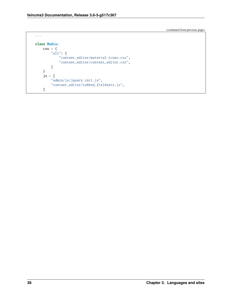```
...
class Media:
    \text{css} = \{"all": [
             "content_editor/material-icons.css",
             "content_editor/content_editor.css",
        ]
    }
    js = ["admin/js/jquery.init.js",
        "content_editor/tabbed_fieldsets.js",
    ]
```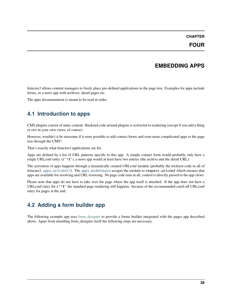## **CHAPTER**

# **EMBEDDING APPS**

feincms3 allows content managers to freely place pre-defined applications in the page tree. Examples for apps include forms, or a news app with archives, detail pages etc.

The apps documentation is meant to be read in order.

# <span id="page-42-0"></span>**4.1 Introduction to apps**

CMS plugins consist of static content. Backend code around plugins is restricted to rendering (except if you add a thing or two in your own views, of course).

However, wouldn't it be awesome if it were possible to add contact forms and even more complicated apps to the page tree through the CMS?

That's exactly what feincms3.applications are for.

Apps are defined by a list of URL patterns specific to this app. A simple contact form would probably only have a single URLconf entry  $(\mathbf{r}' \cdot \mathbf{\hat{s}}')$ , a news app would at least have two entries (the archive and the detail URL).

The activation of apps happens through a dynamically created URLconf module (probably the trickiest code in all of feincms3, [apps\\_urlconf\(\)](#page-54-0)). The [apps\\_middleware](#page-54-1) assigns the module to request.urlconf which ensures that apps are available for resolving and URL reversing. No page code runs at all, control is directly passed to the app views.

Please note that apps do not have to take over the page where the app itself is attached. If the app does not have a URLconf entry for  $r'$ <sup> $\$ </sup> the standard page rendering still happens. because of the recommended catch-all URLconf entry for pages at the end.

# **4.2 Adding a form builder app**

The following example app uses [form\\_designer](https://pypi.org/project/form_designer) to provide a forms builder integrated with the pages app described above. Apart from installing form\_designer itself the following steps are necessary.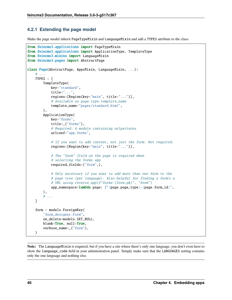# **4.2.1 Extending the page model**

Make the page model inherit PageTypeMixin and LanguageMixin and add a TYPES attribute to the class:

```
from feincms3.applications import PageTypeMixin
from feincms3.applications import ApplicationType, TemplateType
from feincms3.mixins import LanguageMixin
from feincms3.pages import AbstractPage
class Page(AbstractPage, AppsMixin, LanguageMixin, ...):
    # ...
   TYPES = [
        TemplateType(
            key="standard",
            title="...",
            regions=[Region(key="main", title="...")],
            # Available as page.type.template_name
            template_name="pages/standard.html",
        ),
        ApplicationType(
            key="forms",
            title=_("forms"),
            # Required: A module containing urlpatterns
            urlconf="app.forms",
            # If you want to add content, not just the form. Not required.
            regions=[Region(key="main", title="...")],
            # The "form" field on the page is required when
            # selecting the forms app
            required_fields=("form",),
            # Only necessary if you want to add more than one form to the
            # page tree (per language). Also helpful for finding a form's u
            # URL using reverse_app(f"forms-{form.pk}", "form")
            app_namespace=lambda page: f"{page.page_type}-{page.form_id}",
        ),
        # ...
   ]
    form = models.ForeignKey(
        "form_designer.Form",
        on_delete=models.SET_NULL,
        blank=True, null=True,
        verbose_name=_("form"),
   )
```
**Note:** The LanguageMixin is required, but if you have a site where there's only one language, you don't even have to show the language\_code field in your administration panel. Simply make sure that the LANGUAGES setting contains only the one language and nothing else.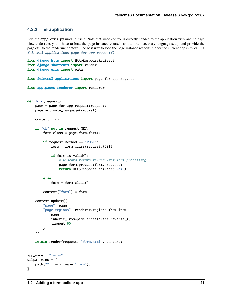# **4.2.2 The application**

Add the app/forms.py module itself. Note that since control is directly handed to the application view and no page view code runs you'll have to load the page instance yourself and do the necessary language setup and provide the page etc. to the rendering context. The best way to load the page instance responsible for the current app is by calling [feincms3.applications.page\\_for\\_app\\_request\(\)](#page-54-2):

```
from django.http import HttpResponseRedirect
from django.shortcuts import render
from django.urls import path
from feincms3.applications import page_for_app_request
from app.pages.renderer import renderer
def form(request):
   page = page_for_app_request(request)
   page.activate_language(request)
   context = \{\}if "ok" not in request.GET:
        form\_class = page.formatform()if request.method == "POST":
            form = form_class(request.POST)
            if form.is_valid():
                # Discard return values from form processing.
                page.form.process(form, request)
                return HttpResponseRedirect("?ok")
        else:
            form = form_class()
        context["form"] = form
   context.update({
        "page": page,
        "page_regions": renderer.regions_from_item(
            page,
            inherit_from=page.ancestors().reverse(),
            timeout=60,
        )
   })
   return render(request, "form.html", context)
app_name = "forms"
urlpatterns = [
   path("", form, name="form"),
]
```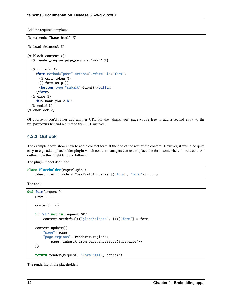Add the required template:

```
{% extends "base.html" %}
{% load feincms3 %}
{% block content %}
  {% render_region page_regions 'main' %}
  {% if form %}
    <form method="post" action=".#form" id="form">
      {% csrf_token %}
      {{ form.as_p }}
      <button type="submit">Submit</button>
    \langle form>
  {% else %}
    Thank you!</h1>
  {% endif %}
{% endblock %}
```
Of course if you'd rather add another URL for the "thank you" page you're free to add a second entry to the urlpatterns list and redirect to this URL instead.

## **4.2.3 Outlook**

The example above shows how to add a contact form at the end of the rest of the content. However, it would be quite easy to e.g. add a placeholder plugin which content managers can use to place the form somewhere in-between. An outline how this might be done follows:

The plugin model definition:

```
class Placeholder(PagePlugin):
   identifier = models.CharField(choices=[("form", "form")], ...)
```
The app:

```
def form(request):
   page = ...
   context = \{\}if "ok" not in request.GET:
        context.setdefault("placeholders", {})["form"] = form
   context.update({
        "page": page,
        "page_regions": renderer.regions(
            page, inherit_from=page.ancestors().reverse()),
   })
   return render(request, "form.html", context)
```
The rendering of the placeholder: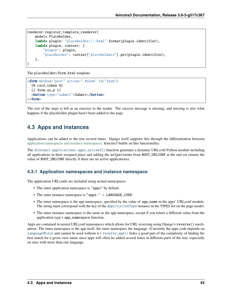```
renderer.register_template_renderer(
   models.Placeholder,
   lambda plugin: "placeholder/{}.html".format(plugin.identifier),
   lambda plugin, context: {
        "plugin": plugin,
        "placeholder": context["placeholders"].get(plugin.identifier),
   },
)
```
The placeholder/form.html template:

```
<form method="post" action=".#form" id="form">
  {% csrf_token %}
 {{ form.as_p }}
 <button type="submit">Submit</button>
</form>
```
The rest of the steps is left as an exercise to the reader. The success message is missing, and missing is also what happens if the placeholder plugin hasn't been added to the page.

# <span id="page-46-0"></span>**4.3 Apps and instances**

Applications can be added to the tree several times. Django itself supports this through the differentiation between [application namespaces and instance namespaces.](https://docs.djangoproject.com/en/2.1/topics/http/urls/#url-namespaces-and-included-urlconfs) feincms3 builds on this functionality.

The [feincms3.applications.apps\\_urlconf\(\)](#page-54-0) function generates a dynamic URLconf Python module including all applications in their assigned place and adding the urlpatterns from ROOT\_URLCONF at the end (or returns the value of ROOT\_URLCONF directly if there are no active applications).

## **4.3.1 Application namespaces and instance namespace**

The application URLconfs are included using nested namespaces:

- The outer application namespace is "apps" by default.
- The outer instance namespace is "apps-" + LANGUAGE\_CODE.
- The inner namespace is the app namespace, specified by the value of app\_name in the apps' URLconf module. The string must correspond with the key of the *[ApplicationType](#page-51-0)* instance in the TYPES list on the page model.
- The inner instance namespace is the same as the app namespace, except if you return a different value from the application type's app\_namespace function.

Apps are contained in nested URLconf namespaces which allows for URL reversing using Django's reverse() mechanism. The inner namespace is the app itself, the outer namespace the language. (Currently the apps code depends on [LanguageMixin](#page-59-0) and cannot be used without it.)  $reverse\_app()$  hides a good part of the complexity of finding the best match for a given view name since apps will often be added several times in different parts of the tree, especially on sites with more than one language.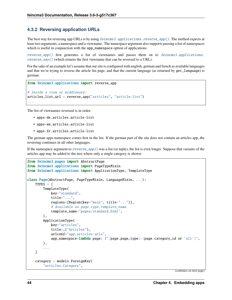## **4.3.2 Reversing application URLs**

The best way for reversing app URLs is by using [feincms3.applications.reverse\\_app\(\)](#page-55-0). The method expects at least two arguments, a namespace and a viewname. The namespace argument also supports passing a list of namespaces which is useful in conjunction with the app\_namespace option of applications.

[reverse\\_app\(\)](#page-55-0) first generates a list of viewnames and passes them on to [feincms3.applications.](#page-54-3) [reverse\\_any\(\)](#page-54-3) (which returns the first viewname that can be reversed to a URL).

For the sake of an example let's assume that our site is configured with english, german and french as available languages and that we're trying to reverse the article list page, and that the current language (as returned by get\_language) is german:

```
from feincms3.applications import reverse_app
# Inside a view or middleware:
articles_list_url = reverse_app("articles", "article-list")
...
```
The list of viewnames reversed is in order:

- apps-de.articles.article-list
- apps-en.articles.article-list
- apps-fr.articles.article-list

The german apps namespace comes first in the list. If the german part of the site does not contain an articles app, the reversing continues in all other languages.

If the namespace argument to  $reverse\_app()$  was a list (or tuple), the list is even longer. Suppose that variants of the articles app may be added to the tree where only a single category is shown:

```
from feincms3.pages import AbstractPage
from feincms3.applications import PageTypeMixin
from feincms3.applications import ApplicationType, TemplateType
class Page(AbstractPage, PageTypeMixin, LanguageMixin, ...):
   TYPES = \GammaTemplateType(
            key="standard",
            title="...",
            regions=[Region(key="main", title="...")],
            # Available as page.type.template_name
            template_name="pages/standard.html",
        ),
        ApplicationType(
            key="articles",
            title=_("Articles"),
            urlconf="app.articles.urls",
            app_namespace=lambda page: f"{page.page_type}-{page.category_id or 'all'}",
        ),
        ...
   ]
   category = models.ForeignKey(
        "articles.Category",
```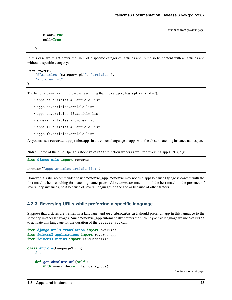```
blank=True,
null=True,
...
```
)

In this case we might prefer the URL of a specific categories' articles app, but also be content with an articles app without a specific category:

```
reverse_app(
    [f"articles-{category.pk}", "articles"],
    "article-list",
)
```
The list of viewnames in this case is (assuming that the category has a pk value of 42):

- apps-de.articles-42.article-list
- apps-de.articles.article-list
- apps-en.articles-42.article-list
- apps-en.articles.article-list
- apps-fr.articles-42.article-list
- apps-fr.articles.article-list

As you can see reverse\_app prefers apps in the current language to apps with the closer matching instance namespace.

**Note:** Some of the time Django's stock reverse() function works as well for reversing app URLs, e.g:

from django.urls import reverse

reverse("apps:articles:article-list")

However, it's still recommended to use reverse\_app. reverse may not find apps because Django is content with the first match when searching for matching namespaces. Also, reverse may not find the best match in the presence of several app instances, be it because of several languages on the site or because of other factors.

## **4.3.3 Reversing URLs while preferring a specific language**

Suppose that articles are written in a language, and get\_absolute\_url should prefer an app in this language to the same app in other languages. Since reverse\_app automatically prefers the currently active language we use override to activate this language for the duration of the reverse\_app call:

```
from django.utils.translation import override
from feincms3.applications import reverse_app
from feincms3.mixins import LanguageMixin
class Article(LanguageMixin):
    # ...
    def get_absolute_url(self):
        with override(self.language_code):
```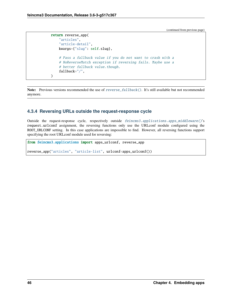```
return reverse_app(
    "articles",
    "article-detail",
   kwargs={"slug": self.slug},
    # Pass a fallback value if you do not want to crash with a
    # NoReverseMatch exception if reversing fails. Maybe use a
    # better fallback value.though.
    fallback="/",
)
```
**Note:** Previous versions recommended the use of [reverse\\_fallback\(\)](#page-55-1). It's still available but not recommended anymore.

# **4.3.4 Reversing URLs outside the request-response cycle**

Outside the request-response cycle, respectively outside [feincms3.applications.apps\\_middleware\(\)](#page-54-1)'s request.urlconf assignment, the reversing functions only use the URLconf module configured using the ROOT\_URLCONF setting. In this case applications are impossible to find. However, all reversing functions support specifying the root URLconf module used for reversing:

from feincms3.applications import apps\_urlconf, reverse\_app

reverse\_app("articles", "article-list", urlconf=apps\_urlconf())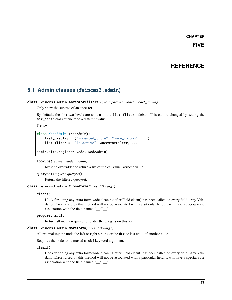### **CHAPTER**

# **FIVE**

# **REFERENCE**

# **5.1 Admin classes (**feincms3.admin**)**

## class feincms3.admin.AncestorFilter(*request*, *params*, *model*, *model\_admin*)

Only show the subtree of an ancestor

By default, the first two levels are shown in the list\_filter sidebar. This can be changed by setting the max\_depth class attribute to a different value.

Usage:

```
class NodeAdmin(TreeAdmin):
   list_display = ("indented_title", "move_column", ...)
   list_filter = ("is_active", AncestorFilter, ...)
```
admin.site.register(Node, NodeAdmin)

### lookups(*request*, *model\_admin*)

Must be overridden to return a list of tuples (value, verbose value)

```
queryset(request, queryset)
```
Return the filtered queryset.

## class feincms3.admin.CloneForm(*\*args*, *\*\*kwargs*)

### clean()

Hook for doing any extra form-wide cleaning after Field.clean() has been called on every field. Any ValidationError raised by this method will not be associated with a particular field; it will have a special-case association with the field named '\_\_all\_\_'.

### property media

Return all media required to render the widgets on this form.

#### class feincms3.admin.MoveForm(*\*args*, *\*\*kwargs*)

Allows making the node the left or right sibling or the first or last child of another node.

Requires the node to be moved as obj keyword argument.

#### clean()

Hook for doing any extra form-wide cleaning after Field.clean() has been called on every field. Any ValidationError raised by this method will not be associated with a particular field; it will have a special-case association with the field named '\_\_all\_\_'.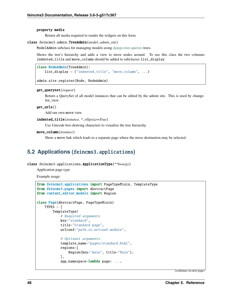#### property media

Return all media required to render the widgets on this form.

### class feincms3.admin.TreeAdmin(*model*, *admin\_site*)

ModelAdmin subclass for managing models using [django-tree-queries](https://github.com/matthiask/django-tree-queries) trees.

Shows the tree's hierarchy and adds a view to move nodes around. To use this class the two columns indented\_title and move\_column should be added to subclasses list\_display:

```
class NodeAdmin(TreeAdmin):
   list_display = ("indented_title", "move_column", ...)
```
admin.site.register(Node, NodeAdmin)

#### get\_queryset(*request*)

Return a QuerySet of all model instances that can be edited by the admin site. This is used by changelist\_view.

#### $get$  urls $()$

Add our own move view.

#### indented\_title(*instance*, *\**, *ellipsize=True*)

Use Unicode box-drawing characters to visualize the tree hierarchy.

```
move_column(instance)
```
Show a move link which leads to a separate page where the move destination may be selected.

# <span id="page-51-1"></span>**5.2 Applications (**feincms3.applications**)**

```
class feincms3.applications.ApplicationType(**kwargs)
```
Application page type

Example usage:

```
from feincms3.applications import PageTypeMixin, TemplateType
from feincms3.pages import AbstractPage
from content_editor.models import Region
class Page(AbstractPage, PageTypeMixin)
    TYPES = \GammaTemplateType(
            # Required arguments
            key="standard",
            title="Standard page",
            urlconf="path.to.urlconf.module",
            # Optional arguments
            template_name="pages/standard.html",
            regions=[
                Region(key="main", title="Main"),
            ],
            app_namespace=lambda page: ...,
```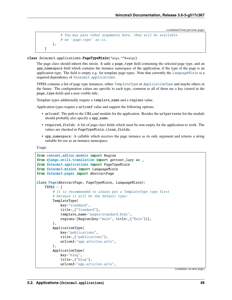```
# You may pass other arguments here, they will be available
        # on ``page.type`` as-is.
    ),
]
```
#### <span id="page-52-0"></span>class feincms3.applications.PageTypeMixin(*\*args*, *\*\*kwargs*)

The page class should inherit this mixin. It adds a page\_type field containing the selected page type, and an app\_namespace field which contains the instance namespace of the application, if the type of the page is an application type. The field is empty e.g. for template page types. Note that currently the [LanguageMixin](#page-59-0) is a required dependency of [feincms3.applications](#page-51-1).

TYPES contains a list of page type instances, either [TemplateType](#page-53-0) or [ApplicationType](#page-51-0) and maybe others in the future. The configuration values are specific to each type, common to all of them are a key (stored in the page\_type field) and a user-visible title.

Template types additionally require a template\_name and a regions value.

Application types require a  $urlconf$  value and support the following options:

- urlconf: The path to the URLconf module for the application. Besides the urlpatterns list the module should probably also specify a app\_name.
- required\_fields: A list of page class fields which must be non-empty for the application to work. The values are checked in PageTypeMixin.clean\_fields.
- app\_namespace: A callable which receives the page instance as its only argument and returns a string suitable for use as an instance namespace.

Usage:

```
from content_editor.models import Region
from django.utils.translation import gettext_lazy as _
from feincms3.applications import PageTypeMixin
from feincms3.mixins import LanguageMixin
from feincms3.pages import AbstractPage
class Page(AbstractPage, PageTypeMixin, LanguageMixin):
    TYPES = \Gamma# It is recommended to always put a TemplateType type first
        # because it will be the default type:
        TemplateType(
            key="standard",
            title=_("Standard"),
            template_name="pages/standard.html",
            regions=[Region(key="main", title=_("Main"))],
        ),
        ApplicationType(
            key="publications",
            title=_("publications"),
            urlconf="app.articles.urls",
        ),
        ApplicationType(
            key="blog",
            title=_("blog"),
            urlconf="app.articles.urls",
```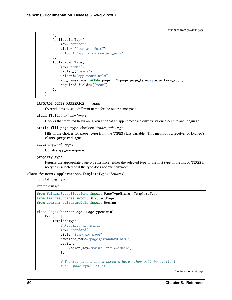```
),
    ApplicationType(
        key="contact",
        title=_("contact form"),
        urlconf="app.forms.contact_urls",
    ),
    ApplicationType(
        key="teams",
        title=_("teams"),
        urlconf="app.teams.urls",
        app_namespace=lambda page: f"{page.page_type}-{page.team_id}",
        required_fields=["team"],
    ),
]
```
### LANGUAGE\_CODES\_NAMESPACE = 'apps'

Override this to set a different name for the outer namespace.

### clean\_fields(*exclude=None*)

Checks that required fields are given and that an app namespace only exists once per site and language.

### static fill\_page\_type\_choices(*sender*, *\*\*kwargs*)

Fills in the choices for page\_type from the TYPES class variable. This method is a receiver of Django's class\_prepared signal.

#### save(*\*args*, *\*\*kwargs*)

Updates app\_namespace.

#### property type

Returns the appropriate page type instance, either the selected type or the first type in the list of TYPES if no type is selected or if the type does not exist anymore.

### <span id="page-53-0"></span>class feincms3.applications.TemplateType(*\*\*kwargs*)

Template page type

Example usage:

```
from feincms3.applications import PageTypeMixin, TemplateType
from feincms3.pages import AbstractPage
from content_editor.models import Region
class Page(AbstractPage, PageTypeMixin)
    TYPES = [
        TemplateType(
            # Required arguments
            key="standard",
            title="Standard page",
            template_name="pages/standard.html",
            regions=[
                Region(key="main", title="Main"),
            ],
            # You may pass other arguments here, they will be available
            # on ``page.type`` as-is.
```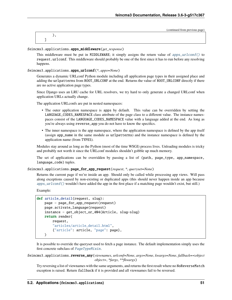|  | (continued from previous page) |
|--|--------------------------------|
|  |                                |
|  |                                |

### <span id="page-54-1"></span>feincms3.applications.apps\_middleware(*get\_response*)

This middleware must be put in MIDDLEWARE; it simply assigns the return value of [apps\\_urlconf\(\)](#page-54-0) to request.urlconf. This middleware should probably be one of the first since it has to run before any resolving happens.

### <span id="page-54-0"></span>feincms3.applications.apps\_urlconf(*\**, *apps=None*)

Generates a dynamic URLconf Python module including all application page types in their assigned place and adding the urlpatterns from ROOT\_URLCONF at the end. Returns the value of ROOT\_URLCONF directly if there are no active application page types.

Since Django uses an LRU cache for URL resolvers, we try hard to only generate a changed URLconf when application URLs actually change.

The application URLconfs are put in nested namespaces:

- The outer application namespace is apps by default. This value can be overridden by setting the LANGUAGE\_CODES\_NAMESPACE class attribute of the page class to a different value. The instance namespaces consist of the LANGUAGE\_CODES\_NAMESPACE value with a language added at the end. As long as you're always using reverse\_app you do not have to know the specifics.
- The inner namespace is the app namespace, where the application namespace is defined by the app itself (assign app\_name in the same module as urlpatterns) and the instance namespace is defined by the application name (from TYPES).

Modules stay around as long as the Python (most of the time WSGI) process lives. Unloading modules is tricky and probably not worth it since the URLconf modules shouldn't gobble up much memory.

The set of applications can be overridden by passing a list of (path, page\_type, app\_namespace, language\_code) tuples.

<span id="page-54-2"></span>feincms3.applications.page\_for\_app\_request(*request*, *\**, *queryset=None*)

Returns the current page if we're inside an app. Should only be called while processing app views. Will pass along exceptions caused by non-existing or duplicated apps (this should never happen inside an app because [apps\\_urlconf\(\)](#page-54-0) wouldn't have added the app in the first place if a matching page wouldn't exist, but still.)

Example:

```
def article_detail(request, slug):
   page = page_for_app_request(request)
   page.activate_language(request)
    instance = get_object_or_404(Article, slug=slug)
   return render(
        request,
        "articles/article_detail.html",
        {"article": article, "page": page},
   )
```
It is possible to override the queryset used to fetch a page instance. The default implementation simply uses the first concrete subclass of [PageTypeMixin](#page-52-0).

<span id="page-54-3"></span>feincms3.applications.reverse\_any(*viewnames*, *urlconf=None*, *args=None*, *kwargs=None*, *fallback=<object object>*, *\*fargs*, *\*\*fkwargs*)

Try reversing a list of viewnames with the same arguments, and returns the first result where no NoReverseMatch exception is raised. Return fallback if it is provided and all viewnames fail to be reversed.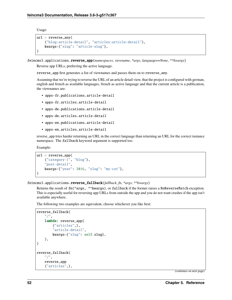Usage:

```
url = reverse_any(
    ("blog:article-detail", "articles:article-detail"),
    kwargs={"slug": "article-slug"},
)
```
<span id="page-55-0"></span>feincms3.applications.reverse\_app(*namespaces*, *viewname*, *\*args*, *languages=None*, *\*\*kwargs*)

Reverse app URLs, preferring the active language.

reverse\_app first generates a list of viewnames and passes them on to reverse\_any.

Assuming that we're trying to reverse the URL of an article detail view, that the project is configured with german, english and french as available languages, french as active language and that the current article is a publication, the viewnames are:

- apps-fr.publications.article-detail
- apps-fr.articles.article-detail
- apps-de.publications.article-detail
- apps-de.articles.article-detail
- apps-en.publications.article-detail
- apps-en.articles.article-detail

reverse\_app tries harder returning an URL in the correct language than returning an URL for the correct instance namespace. The fallback keyword argument is supported too.

Example:

```
url = reverse\_app(("category-1", "blog"),
    "post-detail",
    kwargs={"year": 2016, "slug": "my-cat"},
\lambda
```
<span id="page-55-1"></span>feincms3.applications.reverse\_fallback(*fallback*, *fn*, *\*args*, *\*\*kwargs*)

Returns the result of fn(\*args, \*\*kwargs), or fallback if the former raises a NoReverseMatch exception. This is especially useful for reversing app URLs from outside the app and you do not want crashes if the app isn't available anywhere.

The following two examples are equivalent, choose whichever you like best:

```
reverse_fallback(
    "/",
    lambda: reverse_app(
        ("articles",),
        "article-detail",
        kwargs={"slug": self.slug},
    ),
)
reverse_fallback(
    "/",
    reverse_app
    ("articles",),
```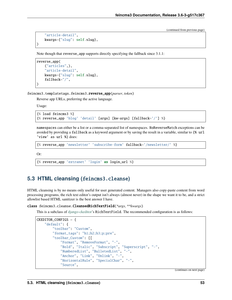```
"article-detail",
kwargs={"slug": self.slug},
```
Note though that reverse\_app supports directly specifying the fallback since 3.1.1:

```
reverse_app(
    ("articles",),
    "article-detail",
    kwargs={"slug": self.slug},
    fallback="/",
)
```
feincms3.templatetags.feincms3.reverse\_app(*parser*, *token*)

Reverse app URLs, preferring the active language.

Usage:

)

```
{% load feincms3 %}
{% reverse_app 'blog' 'detail' [args] [kw=args] [fallback='/'] %}
```
namespaces can either be a list or a comma-separated list of namespaces. NoReverseMatch exceptions can be avoided by providing a fallback as a keyword argument or by saving the result in a variable, similar to {% url 'view' as url %} does:

```
{% reverse_app 'newsletter' 'subscribe-form' fallback='/newsletter/' %}
```
Or:

```
{% reverse_app 'extranet' 'login' as login_url %}
```
# <span id="page-56-0"></span>**5.3 HTML cleansing (**feincms3.cleanse**)**

HTML cleansing is by no means only useful for user generated content. Managers also copy-paste content from word processing programs, the rich text editor's output isn't always (almost never) in the shape we want it to be, and a strict allowlist based HTML sanitizer is the best answer I have.

class feincms3.cleanse.CleansedRichTextField(*\*args*, *\*\*kwargs*)

This is a subclass of [django-ckeditor'](https://github.com/django-ckeditor/django-ckeditor)s RichTextField. The recommended configuration is as follows:

```
CKEDITOR_CONFIGS = {
    "default": {
        "toolbar": "Custom",
        "format_tags": "h1;h2;h3;p;pre",
        "toolbar_Custom": [[
            "Format", "RemoveFormat", "-",
            "Bold", "Italic", "Subscript", "Superscript", "-",
            "NumberedList", "BulletedList", "-",
            "Anchor", "Link", "Unlink", "-",
            "HorizontalRule", "SpecialChar", "-",
            "Source",
```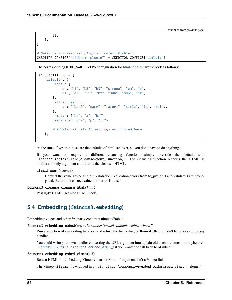```
]],
    },
}
# Settings for feincms3.plugins.richtext.RichText
CKEDITOR_CONFIGS["richtext-plugin"] = CKEDITOR_CONFIGS["default"]
```
The corresponding HTML\_SANITIZERS configuration for [html-sanitizer](https://pypi.org/project/html-sanitizer) would look as follows:

```
HTML_SANITIZERS = {
    "default": {
        "tags": {
            "a", "h1", "h2", "h3", "strong", "em", "p",
            "ul", "ol", "li", "br", "sub", "sup", "hr",
        },
        "attributes": {
            "a": ("href", "name", "target", "title", "id", "rel"),
        },
        "empty": {"hr", "a", "br"},
        "separate": {"a", "p", "li"},
        # Additional default settings not listed here.
    },
}
```
At the time of writing those are the defaults of html-sanitizer, so you don't have to do anything.

If you want or require a different cleansing function, simply override the default with CleansedRichTextField(cleanse=your\_function). The cleansing function receives the HTML as its first and only argument and returns the cleansed HTML.

#### clean(*value*, *instance*)

Convert the value's type and run validation. Validation errors from to\_python() and validate() are propagated. Return the correct value if no error is raised.

### feincms3.cleanse.cleanse\_html(*html*)

Pass ugly HTML, get nice HTML back.

# <span id="page-57-0"></span>**5.4 Embedding (**feincms3.embedding**)**

Embedding videos and other 3rd party content without oEmbed.

feincms3.embedding.embed(*url*, *\**, *handlers=[embed\_youtube, embed\_vimeo]*)

Run a selection of embedding handlers and return the first value, or None if URL couldn't be processed by any handler.

You could write your own handler converting the URL argument into a plain old anchor element or maybe even [feincms3.plugins.external.oembed\\_html\(\)](#page-61-0) if you wanted to fall back to oEmbed.

#### feincms3.embedding.embed\_vimeo(*url*)

Return HTML for embedding Vimeo videos or None, if argument isn't a Vimeo link.

The Vimeo <iframe> is wrapped in a <div class="responsive-embed widescreen vimeo"> element.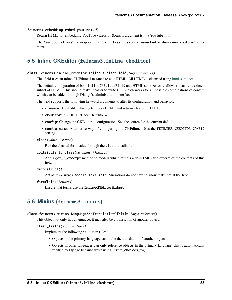#### feincms3.embedding.embed\_youtube(*url*)

Return HTML for embedding YouTube videos or None, if argument isn't a YouTube link.

The YouTube <iframe> is wrapped in a <div class="responsive-embed widescreen youtube"> element.

# **5.5 Inline CKEditor (**feincms3.inline\_ckeditor**)**

### class feincms3.inline\_ckeditor.InlineCKEditorField(*\*args*, *\*\*kwargs*)

This field uses an inline CKEditor 4 instance to edit HTML. All HTML is cleansed using [html-sanitizer.](https://github.com/matthiask/html-sanitizer)

The default configuration of both InlineCKEditorField and HTML sanitizer only allows a heavily restricted subset of HTML. This should make it easier to write CSS which works for all possible combinations of content which can be added through Django's administration interface.

The field supports the following keyword arguments to alter its configuration and behavior:

- cleanse: A callable which gets messy HTML and returns cleansed HTML.
- ckeditor: A CDN URL for CKEditor 4.
- config: Change the CKEditor 4 configuration. See the source for the current default.
- config\_name: Alternative way of configuring the CKEditor. Uses the FEINCMS3\_CKEDITOR\_CONFIG setting.

#### clean(*value*, *instance*)

Run the cleaned form value through the cleanse callable

#### contribute\_to\_class(*cls*, *name*, *\*\*kwargs*)

Add a get\_\*\_excerpt method to models which returns a de-HTML-ified excerpt of the contents of this field

#### deconstruct()

Act as if we were a models.TextField. Migrations do not have to know that's not 100% true.

#### formfield(*\*\*kwargs*)

Ensure that forms use the InlineCKEditorWidget

# **5.6 Mixins (**feincms3.mixins**)**

#### <span id="page-58-0"></span>class feincms3.mixins.LanguageAndTranslationOfMixin(*\*args*, *\*\*kwargs*)

This object not only has a language, it may also be a translation of another object.

#### clean\_fields(*exclude=None*)

Implement the following validation rules:

- Objects in the primary language cannot be the translation of another object
- Objects in other languages can only reference objects in the primary language (this is automatically verified by Django because we're using limit\_choices\_to)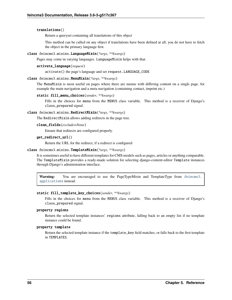### translations()

Return a queryset containing all translations of this object

This method can be called on any object if translations have been defined at all, you do not have to fetch the object in the primary language first.

#### <span id="page-59-0"></span>class feincms3.mixins.LanguageMixin(*\*args*, *\*\*kwargs*)

Pages may come in varying languages. LanguageMixin helps with that.

#### activate\_language(*request*)

activate() the page's language and set request.LANGUAGE\_CODE

#### class feincms3.mixins.MenuMixin(*\*args*, *\*\*kwargs*)

The MenuMixin is most useful on pages where there are menus with differing content on a single page, for example the main navigation and a meta navigation (containing contact, imprint etc.)

#### static fill\_menu\_choices(*sender*, *\*\*kwargs*)

Fills in the choices for menu from the MENUS class variable. This method is a receiver of Django's class\_prepared signal.

### class feincms3.mixins.RedirectMixin(*\*args*, *\*\*kwargs*)

The RedirectMixin allows adding redirects in the page tree.

#### clean\_fields(*exclude=None*)

Ensure that redirects are configured properly.

#### get\_redirect\_url()

Return the URL for the redirect, if a redirect is configured

### class feincms3.mixins.TemplateMixin(*\*args*, *\*\*kwargs*)

It is sometimes useful to have different templates for CMS models such as pages, articles or anything comparable. The TemplateMixin provides a ready-made solution for selecting django-content-editor Template instances through Django's administration interface.

Warning: You are encouraged to use the PageTypeMixin and TemplateType from [feincms3.](#page-51-1) [applications](#page-51-1) instead.

#### static fill\_template\_key\_choices(*sender*, *\*\*kwargs*)

Fills in the choices for menu from the MENUS class variable. This method is a receiver of Django's class\_prepared signal.

### property regions

Return the selected template instances' regions attribute, falling back to an empty list if no template instance could be found.

#### property template

Return the selected template instance if the template\_key field matches, or falls back to the first template in TEMPLATES.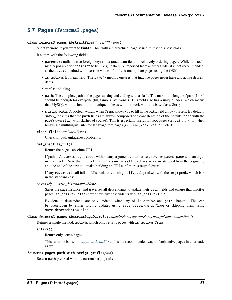# **5.7 Pages (**feincms3.pages**)**

### class feincms3.pages.AbstractPage(*\*args*, *\*\*kwargs*)

Short version: If you want to build a CMS with a hierarchical page structure, use this base class.

It comes with the following fields:

- parent: (a nullable tree foreign key) and a position field for relatively ordering pages. While it is technically possible for position to be 0, e.g., data bulk imported from another CMS, it is not recommended, as the save() method will override values of 0 if you manipulate pages using the ORM.
- is\_active: Boolean field. The save() method ensures that inactive pages never have any active descendants.
- title and slug
- path: The complete path to the page, starting and ending with a slash. The maximum length of path (1000) should be enough for everyone (tm, famous last words). This field also has a unique index, which means that MySQL with its low limit on unique indexes will not work with this base class. Sorry.
- static\_path: A boolean which, when True, allows you to fill in the path field all by yourself. By default, save() ensures that the path fields are always composed of a concatenation of the parent's path with the page's own slug (with slashes of course). This is especially useful for root pages (set path to /) or, when building a multilingual site, for language root pages (i.e. /en/, /de/, /pt-br/ etc.)

#### clean\_fields(*exclude=None*)

Check for path uniqueness problems.

#### get\_absolute\_url()

Return the page's absolute URL

If path is /, reverses pages:root without any arguments, alternatively reverses pages:page with an argument of path. Note that this path is not the same as  $self.path - slashes$  are stripped from the beginning and the end of the string to make building an URLconf more straightforward.

If any reverse() call fails it falls back to returning self.path prefixed with the script prefix which is / in the standard case.

#### save(*self*, *...*, *save\_descendants=None*)

Saves the page instance, and traverses all descendants to update their path fields and ensure that inactive pages (is\_active=False) never have any descendants with is\_active=True.

By default, descendants are only updated when any of is\_active and path change. This can be overridden by either forcing updates using save\_descendants=True or skipping them using save\_descendants=False.

class feincms3.pages.AbstractPageQuerySet(*model=None*, *query=None*, *using=None*, *hints=None*)

Defines a single method, active, which only returns pages with is\_active=True.

#### active()

Return only active pages

This function is used in  $apps\_urlconf()$  and is the recommended way to fetch active pages in your code as well.

### feincms3.pages.path\_with\_script\_prefix(*path*)

Return path prefixed with the current script prefix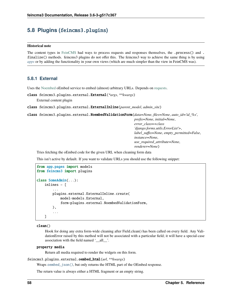# **5.8 Plugins (**feincms3.plugins**)**

### **Historical note**

The content types in [FeinCMS](https://github.com/feincms/feincms) had ways to process requests and responses themselves, the .process() and . finalize() methods. feincms3 plugins do not offer this. The feincms3 way to achieve the same thing is by using *[apps](#page-46-0)* or by adding the functionality in your own views (which are much simpler than the view in FeinCMS was).

## **5.8.1 External**

Uses the [Noembed](https://noembed.com/) oEmbed service to embed (almost) arbitrary URLs. Depends on [requests.](https://docs.python-requests.org)

```
class feincms3.plugins.external.External(*args, **kwargs)
```
External content plugin

```
class feincms3.plugins.external.ExternalInline(parent_model, admin_site)
```
class feincms3.plugins.external.NoembedValidationForm(*data=None*, *files=None*, *auto\_id='id\_%s'*,

*prefix=None*, *initial=None*, *error\_class=<class 'django.forms.utils.ErrorList'>*, *label\_suffix=None*, *empty\_permitted=False*, *instance=None*, *use\_required\_attribute=None*, *renderer=None*)

Tries fetching the oEmbed code for the given URL when cleaning form data

This isn't active by default. If you want to validate URLs you should use the following snippet:

```
from app.pages import models
from feincms3 import plugins
class SomeAdmin(...):
    inlines = [
        ...
        plugins.external.ExternalInline.create(
            model=models.External,
            form=plugins.external.NoembedValidationForm,
        ),
        ...
    ]
```
#### clean()

Hook for doing any extra form-wide cleaning after Field.clean() has been called on every field. Any ValidationError raised by this method will not be associated with a particular field; it will have a special-case association with the field named '\_\_all\_\_'.

#### property media

Return all media required to render the widgets on this form.

```
feincms3.plugins.external.oembed_html(url, **kwargs)
```
Wraps [oembed\\_json\(\)](#page-62-0), but only returns the HTML part of the OEmbed response.

The return value is always either a HTML fragment or an empty string.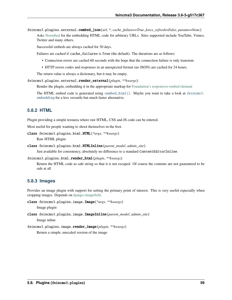<span id="page-62-0"></span>feincms3.plugins.external.oembed\_json(*url*, *\**, *cache\_failures=True*, *force\_refresh=False*, *params=None*) Asks [Noembed](https://noembed.com/) for the embedding HTML code for arbitrary URLs. Sites supported include YouTube, Vimeo, Twitter and many others.

Successful embeds are always cached for 30 days.

Failures are cached if cache\_failures is True (the default). The durations are as follows:

- Connection errors are cached 60 seconds with the hope that the connection failure is only transient.
- HTTP errors codes and responses in an unexpected format (no JSON) are cached for 24 hours.

The return value is always a dictionary, but it may be empty.

feincms3.plugins.external.render\_external(*plugin*, *\*\*kwargs*)

Render the plugin, embedding it in the appropriate markup for [Foundation's responsive-embed element](https://foundation.zurb.com/sites/docs/responsive-embed.html)

The HTML embed code is generated using *[oembed\\_html\(\)](#page-61-0)*. Maybe you want to take a look at *feincms3*. [embedding](#page-57-0) for a less versatile but much faster alternative.

## **5.8.2 HTML**

Plugin providing a simple textarea where raw HTML, CSS and JS code can be entered.

Most useful for people wanting to shoot themselves in the foot.

```
class feincms3.plugins.html.HTML(*args, **kwargs)
```
Raw HTML plugin

class feincms3.plugins.html.HTMLInline(*parent\_model*, *admin\_site*)

Just available for consistency, absolutely no difference to a standard ContentEditorInline.

```
feincms3.plugins.html.render_html(plugin, **kwargs)
```
Return the HTML code as safe string so that it is not escaped. Of course the contents are not guaranteed to be safe at all

### **5.8.3 Images**

Provides an image plugin with support for setting the primary point of interest. This is very useful especially when cropping images. Depends on [django-imagefield.](https://django-imagefield.readthedocs.io)

class feincms3.plugins.image.Image(*\*args*, *\*\*kwargs*)

Image plugin

```
class feincms3.plugins.image.ImageInline(parent_model, admin_site)
     Image inline
```
feincms3.plugins.image.render\_image(*plugin*, *\*\*kwargs*) Return a simple, unscaled version of the image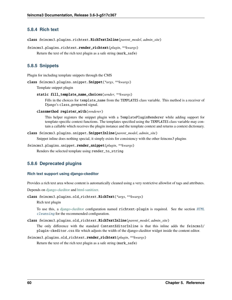## **5.8.4 Rich text**

class feincms3.plugins.richtext.RichTextInline(*parent\_model*, *admin\_site*)

```
feincms3.plugins.richtext.render_richtext(plugin, **kwargs)
```

```
Return the text of the rich text plugin as a safe string (mark_safe)
```
## **5.8.5 Snippets**

Plugin for including template snippets through the CMS

```
class feincms3.plugins.snippet.Snippet(*args, **kwargs)
```
Template snippet plugin

```
static fill_template_name_choices(sender, **kwargs)
```
Fills in the choices for template\_name from the TEMPLATES class variable. This method is a receiver of Django's class\_prepared signal.

```
classmethod register_with(renderer)
```
This helper registers the snippet plugin with a TemplatePluginRenderer while adding support for template-specific context functions. The templates specified using the TEMPLATES class variable may contain a callable which receives the plugin instance and the template context and returns a context dictionary.

```
class feincms3.plugins.snippet.SnippetInline(parent_model, admin_site)
```
Snippet inline does nothing special, it simply exists for consistency with the other feincms3 plugins

```
feincms3.plugins.snippet.render_snippet(plugin, **kwargs)
```
Renders the selected template using render\_to\_string

# **5.8.6 Deprecated plugins**

## **Rich text support using django-ckeditor**

Provides a rich text area whose content is automatically cleaned using a very restrictive allowlist of tags and attributes.

Depends on [django-ckeditor](https://github.com/django-ckeditor/django-ckeditor/) and [html-sanitizer.](https://pypi.org/project/html-sanitizer)

### class feincms3.plugins.old\_richtext.RichText(*\*args*, *\*\*kwargs*)

Rich text plugin

To use this, a [django-ckeditor](https://github.com/django-ckeditor/django-ckeditor) configuration named richtext-plugin is required. See the section [HTML](#page-56-0) [cleansing](#page-56-0) for the recommended configuration.

```
class feincms3.plugins.old_richtext.RichTextInline(parent_model, admin_site)
```
The only difference with the standard ContentEditorInline is that this inline adds the feincms3/ plugin-ckeditor.css file which adjusts the width of the django-ckeditor widget inside the content editor.

```
feincms3.plugins.old_richtext.render_richtext(plugin, **kwargs)
```
Return the text of the rich text plugin as a safe string (mark\_safe)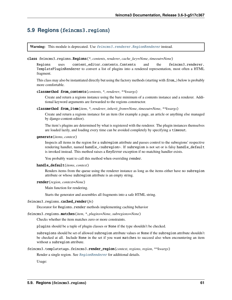# **5.9 Regions (**feincms3.regions**)**

**Warning:** This module is deprecated. Use [feincms3.renderer.RegionRenderer](#page-65-0) instead.

#### class feincms3.regions.Regions(*\**, *contents*, *renderer*, *cache\_key=None*, *timeout=None*)

Regions uses content\_editor.contents.Contents and the feincms3.renderer. TemplatePluginRenderer to convert a list of plugins into a rendered representation, most often a HTML fragment.

This class may also be instantiated directly but using the factory methods (starting with from\_) below is probably more comfortable.

#### classmethod from\_contents(*contents*, *\**, *renderer*, *\*\*kwargs*)

Create and return a regions instance using the bare minimum of a contents instance and a renderer. Additional keyword arguments are forwarded to the regions constructor.

classmethod from\_item(*item*, *\**, *renderer*, *inherit\_from=None*, *timeout=None*, *\*\*kwargs*)

Create and return a regions instance for an item (for example a page, an article or anything else managed by django-content-editor).

The item's plugins are determined by what is registered with the renderer. The plugin instances themselves are loaded lazily, and loading every time can be avoided completely by specifying a timeout.

#### generate(*items*, *context*)

Inspects all items in the region for a subregion attribute and passes control to the subregions' respective rendering handler, named handle\_<subregion>. If subregion is not set or is falsy handle\_default is invoked instead. This method raises a KeyError exception if no matching handler exists.

You probably want to call this method when overriding render.

#### handle\_default(*items*, *context*)

Renders items from the queue using the renderer instance as long as the items either have no subregion attribute or whose subregion attribute is an empty string.

#### render(*region*, *context=None*)

Main function for rendering.

Starts the generator and assembles all fragments into a safe HTML string.

#### feincms3.regions.cached\_render(*fn*)

Decorator for Regions.render methods implementing caching behavior

#### feincms3.regions.matches(*item*, *\**, *plugins=None*, *subregions=None*)

Checks whether the item matches zero or more constraints.

plugins should be a tuple of plugin classes or None if the type shouldn't be checked.

subregions should be set of allowed subregion attribute values or None if the subregion attribute shouldn't be checked at all. Include None in the set if you want matches to succeed also when encountering an item without a subregion attribute.

### feincms3.templatetags.feincms3.render\_region(*context*, *regions*, *region*, *\*\*kwargs*)

Render a single region. See [RegionRenderer](#page-65-0) for additional details.

Usage: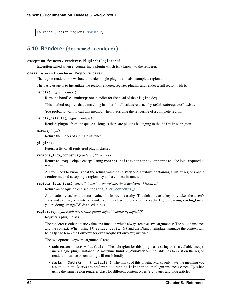{% render\_region regions "main" %}

# **5.10 Renderer (**feincms3.renderer**)**

#### exception feincms3.renderer.PluginNotRegistered

Exception raised when encountering a plugin which isn't known to the renderer.

#### <span id="page-65-0"></span>class feincms3.renderer.RegionRenderer

The region renderer knows how to render single plugins and also complete regions.

The basic usage is to instantiate the region renderer, register plugins and render a full region with it.

#### handle(*plugins*, *context*)

Runs the handle\_<subregion> handler for the head of the plugins deque.

This method requires that a matching handler for all values returned by self. subregion() exists.

You probably want to call this method when overriding the rendering of a complete region.

### handle\_default(*plugins*, *context*)

Renders plugins from the queue as long as there are plugins belonging to the default subregion.

#### marks(*plugin*)

Return the marks of a plugin instance

#### plugins()

Return a list of all registered plugin classes

#### <span id="page-65-1"></span>regions\_from\_contents(*contents*, *\*\*kwargs*)

Return an opaque object encapsulating content\_editor.contents.Contents and the logic required to render them.

All you need to know is that the return value has a regions attribute containing a list of regions and a render method accepting a region key and a context instance.

#### regions\_from\_item(*item*, */*, *\**, *inherit\_from=None*, *timeout=None*, *\*\*kwargs*)

Return an opaque object, see [regions\\_from\\_contents\(\)](#page-65-1)

Automatically caches the return value if timeout is truthy. The default cache key only takes the item's class and primary key into account. You may have to override the cache key by passing cache\_key if you're doing strange^Wadvanced things.

#### register(*plugin*, *renderer*, */*, *subregion='default'*, *marks={'default'}*)

Register a plugin class

The renderer is either a static value or a function which always receives two arguments: The plugin instance and the context. When using {% render\_region %} and the Django template language the context will be a Django template Context (or even RequestContext) instance.

The two optional keyword arguments' are:

- subregion: str = "default": The subregion for this plugin as a string or as a callable accepting a single plugin instance. A matching handle\_<subregion> callable has to exist on the region renderer instance or rendering **will** crash loudly.
- marks: Set [str] = {"default"}: The marks of this plugin. Marks only have the meaning you assign to them. Marks are preferrable to running isinstance on plugin instances especially when using the same region renderer class for different content types (e.g. pages and blog articles).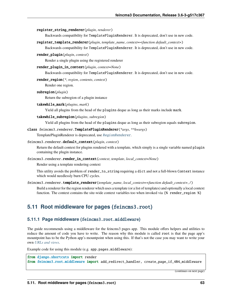#### register\_string\_renderer(*plugin*, *renderer*)

Backwards compatibility for TemplatePluginRenderer. It is deprecated, don't use in new code.

- register\_template\_renderer(*plugin*, *template\_name*, *context=<function default\_context>*) Backwards compatibility for TemplatePluginRenderer. It is deprecated, don't use in new code.
- render\_plugin(*plugin*, *context*)

Render a single plugin using the registered renderer

render\_plugin\_in\_context(*plugin*, *context=None*)

Backwards compatibility for TemplatePluginRenderer. It is deprecated, don't use in new code.

render\_region(*\**, *region*, *contents*, *context*)

Render one region.

subregion(*plugin*)

Return the subregion of a plugin instance

takewhile\_mark(*plugins*, *mark*)

Yield all plugins from the head of the plugins deque as long as their marks include mark.

takewhile\_subregion(*plugins*, *subregion*)

Yield all plugins from the head of the plugins deque as long as their subregion equals subregion.

### class feincms3.renderer.TemplatePluginRenderer(*\*args*, *\*\*kwargs*)

TemplatePluginRenderer is deprecated, use [RegionRenderer](#page-65-0).

#### feincms3.renderer.default\_context(*plugin*, *context*)

Return the default context for plugins rendered with a template, which simply is a single variable named plugin containing the plugin instance.

feincms3.renderer.render\_in\_context(*context*, *template*, *local\_context=None*)

Render using a template rendering context

This utility avoids the problem of render\_to\_string requiring a dict and not a full-blown Context instance which would needlessly burn CPU cycles.

feincms3.renderer.template\_renderer(*template\_name*, *local\_context=<function default\_context>*, */* )

Build a renderer for the region renderer which uses a template (or a list of templates) and optionally a local context function. The context contains the site-wide context variables too when invoked via {% render\_region %}

# **5.11 Root middleware for pages (**feincms3.root**)**

### **5.11.1 Page middleware (**feincms3.root.middleware**)**

The guide recommends using a middleware for the feincms3 pages app. This module offers helpers and utilities to reduce the amount of code you have to write. The reason why this module is called root is that the page app's mountpoint has to be the Python app's mountpoint when using this. If that's not the case you may want to write your own *[URLs and views](#page-32-0)*.

Example code for using this module (e.g. app.pages.middleware):

```
from django.shortcuts import render
from feincms3.root.middleware import add_redirect_handler, create_page_if_404_middleware
```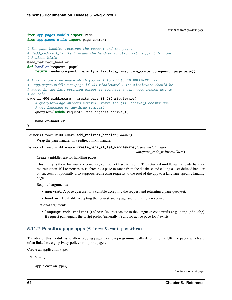```
(continued from previous page)
```

```
from app.pages.models import Page
from app.pages.utils import page_context
# The page handler receives the request and the page.
# ``add_redirect_handler`` wraps the handler function with support for the
# RedirectMixin.
@add_redirect_handler
def handler(request, page):
   return render(request, page.type.template_name, page_context(request, page=page))
# This is the middleware which you want to add to ``MIDDLEWARE`` as
# "app.pages.middleware.page_if_404_middleware". The middleware should be
# added in the last position except if you have a very good reason not to
# do this.
page\_if\_404\_middleware = create\_page\_if\_404\_middleware(# queryset=Page.objects.active() works too (if .active() doesn't use
    # get_language or anything similar)
   queryset=lambda request: Page.objects.active(),
   handler=handler,
)
```
feincms3.root.middleware.add\_redirect\_handler(*handler*)

Wrap the page handler in a redirect mixin handler

```
feincms3.root.middleware.create_page_if_404_middleware(*, queryset, handler,
```
*language\_code\_redirect=False*)

Create a middleware for handling pages

This utility is there for your convenience, you do not have to use it. The returned middleware already handles returning non-404 responses as-is, fetching a page instance from the database and calling a user-defined handler on success. It optionally also supports redirecting requests to the root of the app to a language-specific landing page.

Required arguments:

- queryset: A page queryset or a callable accepting the request and returning a page queryset.
- handler: A callable accepting the request and a page and returning a response.

Optional arguments:

• language\_code\_redirect (False): Redirect visitor to the language code prefix (e.g. /en/, /de-ch/) if request path equals the script prefix (generally /) and no active page for / exists.

## **5.11.2 Passthru page apps (**feincms3.root.passthru**)**

The idea of this module is to allow tagging pages to allow programmatically determing the URL of pages which are often linked to, e.g. privacy policy or imprint pages.

Create an application type:

```
TYPES = \Gamma...
    ApplicationType(
```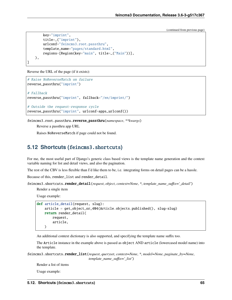```
key="imprint",
        title=_("imprint"),
        urlconf="feincms3.root.passthru",
        template_name="pages/standard.html",
        regions=[Region(key="main", title=_("Main"))],
    ),
]
```
Reverse the URL of the page (if it exists):

```
# Raise NoReverseMatch on failure
reverse_passthru("imprint")
# Fallback
reverse_passthru("imprint", fallback="/en/imprint/")
# Outside the request-response cycle
reverse_passthru("imprint", urlconf=apps_urlconf())
```
feincms3.root.passthru.reverse\_passthru(*namespace*, *\*\*kwargs*)

Reverse a passthru app URL

Raises NoReverseMatch if page could not be found.

# **5.12 Shortcuts (**feincms3.shortcuts**)**

For me, the most useful part of Django's generic class based views is the template name generation and the context variable naming for list and detail views, and also the pagination.

The rest of the CBV is less flexible than I'd like them to be, i.e. integrating forms on detail pages can be a hassle.

Because of this, render\_list and render\_detail.

feincms3.shortcuts.render\_detail(*request*, *object*, *context=None*, *\**, *template\_name\_suffix='\_detail'*)

Render a single item

Usage example:

```
def article_detail(request, slug):
   article = get_object_or_404(Article.objects.published(), slug=slug)
   return render_detail(
       request,
        article,
   )
```
An additional context dictionary is also supported, and specifying the template name suffix too.

The Article instance in the example above is passed as object AND article (lowercased model name) into the template.

feincms3.shortcuts.render\_list(*request*, *queryset*, *context=None*, *\**, *model=None*, *paginate\_by=None*, *template\_name\_suffix='\_list'*)

Render a list of items

Usage example: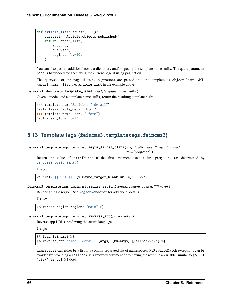```
def article_list(request, ...):
   queryset = Article.objects.published()
   return render_list(
        request,
        queryset,
       paginate_by=10,
   )
```
You can also pass an additional context dictionary and/or specify the template name suffix. The query parameter page is hardcoded for specifying the current page if using pagination.

The queryset (or the page if using pagination) are passed into the template as object\_list AND <model\_name>\_list, i.e. article\_list in the example above.

```
feincms3.shortcuts.template_name(model, template_name_suffix)
```
Given a model and a template name suffix, return the resulting template path:

```
>>> template_name(Article, "_detail")
"articles/article_detail.html"
>>> template_name(User, "_form")
"auth/user_form.html"
```
# **5.13 Template tags (**feincms3.templatetags.feincms3**)**

feincms3.templatetags.feincms3.maybe\_target\_blank(*href*, *\**, *attributes='target="\_blank"*

*rel="noopener"'*)

Return the value of attributes if the first argument isn't a first party link (as determined by [is\\_first\\_party\\_link\(\)](#page-71-0))

Usage:

<a href="{{ url }}" {% maybe\_target\_blank url %}>...</a>

feincms3.templatetags.feincms3.render\_region(*context*, *regions*, *region*, *\*\*kwargs*)

Render a single region. See [RegionRenderer](#page-65-0) for additional details.

Usage:

```
{% render_region regions "main" %}
```
feincms3.templatetags.feincms3.reverse\_app(*parser*, *token*)

Reverse app URLs, preferring the active language.

Usage:

```
{% load feincms3 %}
{% reverse_app 'blog' 'detail' [args] [kw=args] [fallback='/'] %}
```
namespaces can either be a list or a comma-separated list of namespaces. NoReverseMatch exceptions can be avoided by providing a fallback as a keyword argument or by saving the result in a variable, similar to {% url 'view' as url %} does: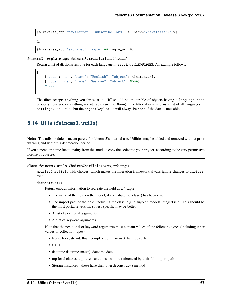{% reverse\_app 'newsletter' 'subscribe-form' fallback='/newsletter/' %}

Or:

 $\Gamma$ 

]

{% reverse\_app 'extranet' 'login' as login\_url %}

feincms3.templatetags.feincms3.translations(*iterable*)

Return a list of dictionaries, one for each language in settings.LANGUAGES. An example follows:

```
{"code": "en", "name": "English", "object": <instance>},
{"code": "de", "name": "German", "object": None},
# ...
```
The filter accepts anything you throw at it. "It" should be an iterable of objects having a language\_code property however, or anything non-iterable (such as None). The filter always returns a list of all languages in settings.LANGUAGES but the object key's value will always be None if the data is unusable.

## **5.14 Utils (**feincms3.utils**)**

**Note:** The utils module is meant purely for feincms3's internal use. Utilities may be added and removed without prior warning and without a deprecation period.

If you depend on some functionality from this module copy the code into your project (according to the very permissive license of course).

class feincms3.utils.ChoicesCharField(*\*args*, *\*\*kwargs*)

models.CharField with choices, which makes the migration framework always ignore changes to choices, ever.

```
deconstruct()
```
Return enough information to recreate the field as a 4-tuple:

- The name of the field on the model, if contribute\_to\_class() has been run.
- The import path of the field, including the class, e.g. django.db.models.IntegerField. This should be the most portable version, so less specific may be better.
- A list of positional arguments.
- A dict of keyword arguments.

Note that the positional or keyword arguments must contain values of the following types (including inner values of collection types):

- None, bool, str, int, float, complex, set, frozenset, list, tuple, dict
- UUID
- datetime.datetime (naive), datetime.date
- top-level classes, top-level functions will be referenced by their full import path
- Storage instances these have their own deconstruct() method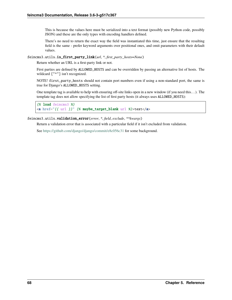This is because the values here must be serialized into a text format (possibly new Python code, possibly JSON) and these are the only types with encoding handlers defined.

There's no need to return the exact way the field was instantiated this time, just ensure that the resulting field is the same - prefer keyword arguments over positional ones, and omit parameters with their default values.

<span id="page-71-0"></span>feincms3.utils.is\_first\_party\_link(*url*, *\**, *first\_party\_hosts=None*)

Return whether an URL is a first-party link or not.

First parties are defined by ALLOWED\_HOSTS and can be overridden by passing an alternative list of hosts. The wildcard ["\*"] isn't recognized.

NOTE! first\_party\_hosts should not contain port numbers even if using a non-standard port, the same is true for Django's ALLOWED\_HOSTS setting.

One template tag is available to help with ensuring off-site links open in a new window (if you need this. . . ). The template tag does not allow specifying the list of first party hosts (it always uses ALLOWED\_HOSTS):

```
{% load feincms3 %}
<a href="{{ url }}" {% maybe_target_blank url %}>text</a>
```
feincms3.utils.validation\_error(*error*, *\**, *field*, *exclude*, *\*\*kwargs*)

Return a validation error that is associated with a particular field if it isn't excluded from validation.

See <https://github.com/django/django/commit/e8c056c31> for some background.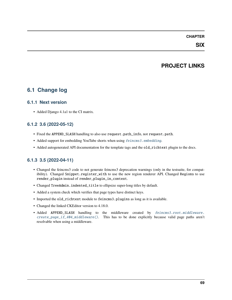#### **CHAPTER**

#### **SIX**

## **PROJECT LINKS**

### **6.1 Change log**

#### **6.1.1 Next version**

• Added Django 4.1a1 to the CI matrix.

#### **6.1.2 3.6 (2022-05-12)**

- Fixed the APPEND\_SLASH handling to also use request.path\_info, not request.path.
- Added support for embedding YouTube shorts when using [feincms3.embedding](#page-57-0).
- Added autogenerated API documentation for the template tags and the old\_richtext plugin to the docs.

### **6.1.3 3.5 (2022-04-11)**

- Changed the feincms3 code to not generate feincms3 deprecation warnings (only in the testsuite, for compatibility). Changed Snippet.register\_with to use the new region renderer API. Changed Regions to use render\_plugin instead of render\_plugin\_in\_context.
- Changed TreeAdmin.indented\_title to ellipsize super-long titles by default.
- Added a system check which verifies that page types have distinct keys.
- Imported the old\_richtext module to feincms3.plugins as long as it is available.
- Changed the linked CKEditor version to 4.18.0.
- Added APPEND\_SLASH handling to the middleware created by [feincms3.root.middleware.](#page-67-0) [create\\_page\\_if\\_404\\_middleware\(\)](#page-67-0). This has to be done explicitly because valid page paths aren't resolvable when using a middleware.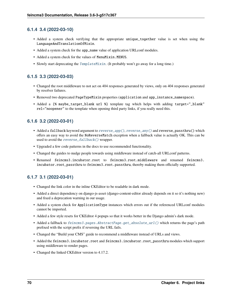#### **6.1.4 3.4 (2022-03-10)**

- Added a system check verifying that the appropriate unique\_together value is set when using the LanguageAndTranslationOfMixin.
- Added a system check for the app\_name value of application URLconf modules.
- Added a system check for the values of MenuMixin.MENUS.
- Slowly start deprecating the [TemplateMixin](#page-59-0). (It probably won't go away for a long time.)

#### **6.1.5 3.3 (2022-03-03)**

- Changed the root middleware to not act on 404 responses generated by views, only on 404 responses generated by resolver failures.
- Removed two deprecated PageTypeMixin properties (application and app\_instance\_namespace).
- Added a {% maybe\_target\_blank url %} template tag which helps with adding target="\_blank" rel="noopener" to the template when opening third party links, if you really need this.

#### **6.1.6 3.2 (2022-03-01)**

- Added a fallback keyword argument to [reverse\\_app\(\)](#page-55-0), [reverse\\_any\(\)](#page-54-0) and reverse\_passthru() which offers an easy way to avoid the NoReverseMatch exception when a fallback value is actually OK. This can be used to avoid the [reverse\\_fallback\(\)](#page-55-1) wrapper.
- Upgraded a few code patterns in the docs to use recommended functionality.
- Changed the guides to nudge people towards using middleware instead of catch-all URLconf patterns.
- Renamed feincms3.incubator.root to feincms3.root.middleware and renamed feincms3. incubator.root\_passthru to feincms3.root.passthru, thereby making them officially supported.

### **6.1.7 3.1 (2022-03-01)**

- Changed the link color in the inline CKEditor to be readable in dark mode.
- Added a direct dependency on django-js-asset (django-content-editor already depends on it so it's nothing new) and fixed a deprecation warning in our usage.
- Added a system check for ApplicationType instances which errors out if the referenced URLconf modules cannot be imported.
- Added a few style resets for CKEditor 4 popups so that it works better in the Django admin's dark mode.
- Added a fallback to [feincms3.pages.AbstractPage.get\\_absolute\\_url\(\)](#page-60-0) which returns the page's path prefixed with the script prefix if reversing the URL fails.
- Changed the "Build your CMS" guide to recommend a middleware instead of URLs and views.
- Added the feincms3.incubator.root and feincms3.incubator.root\_passthru modules which support using middleware to render pages.
- Changed the linked CKE ditor version to 4.17.2.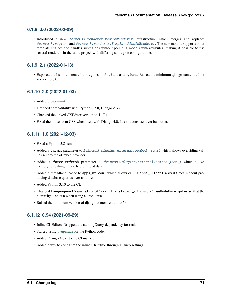#### **6.1.8 3.0 (2022-02-09)**

• Introduced a new [feincms3.renderer.RegionRenderer](#page-65-0) infrastructure which merges and replaces [feincms3.regions](#page-64-0) and [feincms3.renderer.TemplatePluginRenderer](#page-66-0). The new module supports other template engines and handles subregions without polluting models with attributes, making it possible to use several renderers in the same project with differing subregion configurations.

#### **6.1.9 2.1 (2022-01-13)**

• Exposed the list of content editor regions on [Regions](#page-64-1) as regions. Raised the minimum django-content-editor version to 6.0.

#### **6.1.10 2.0 (2022-01-03)**

- Added [pre-commit.](https://pre-commit.com/)
- Dropped compatibility with Python < 3.8, Django < 3.2.
- Changed the linked CKE ditor version to 4.17.1.
- Fixed the move form CSS when used with Django 4.0. It's not consistent yet but better.

### **6.1.11 1.0 (2021-12-03)**

- Fixed a Python 3.8-ism.
- Added a params parameter to [feincms3.plugins.external.oembed\\_json\(\)](#page-62-0) which allows overriding values sent to the oEmbed provider.
- Added a force\_refresh parameter to [feincms3.plugins.external.oembed\\_json\(\)](#page-62-0) which allows forcibly refreshing the cached oEmbed data.
- Added a threadlocal cache to apps\_urlconf which allows calling apps\_urlconf several times without producing database queries over and over.
- Added Python 3.10 to the CI.
- Changed LanguageAndTranslationOfMixin.translation\_of to use a TreeNodeForeignKey so that the hierarchy is shown when using a dropdown.
- Raised the minimum version of django-content-editor to 5.0.

#### **6.1.12 0.94 (2021-09-29)**

- Inline CKEditor: Dropped the admin jQuery dependency for real.
- Started using [pyupgrade](https://pypi.python.org/pypi/pyupgrade) for the Python code.
- Added Django 4.0a1 to the CI matrix.
- Added a way to configure the inline CKEditor through Django settings.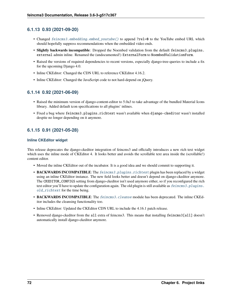#### **6.1.13 0.93 (2021-09-20)**

- Changed [feincms3.embedding.embed\\_youtube\(\)](#page-57-1) to append ?rel=0 to the YouTube embed URL which should hopefully suppress recommendations when the embedded video ends.
- **Slightly backwards incompatible**: Dropped the Noembed validation from the default feincms3.plugins. external admin inline. Renamed the (undocumented!) ExternalForm to NoembedValidationForm.
- Raised the versions of required dependencies to recent versions, especially django-tree-queries to include a fix for the upcoming Django 4.0.
- Inline CKEditor: Changed the CDN URL to reference CKEditor 4.16.2.
- Inline CKEditor: Changed the JavaScript code to not hard-depend on jQuery.

#### **6.1.14 0.92 (2021-06-09)**

- Raised the minimum version of django-content-editor to 5.0a3 to take advantage of the bundled Material Icons library. Added default icon specifications to all plugins' inlines.
- Fixed a bug where feincms3.plugins.richtext wasn't available when django-ckeditor wasn't installed despite no longer depending on it anymore.

#### **6.1.15 0.91 (2021-05-28)**

#### **Inline CKEditor widget**

This release deprecates the django-ckeditor integration of feincms3 and officially introduces a new rich text widget which uses the inline mode of CKEditor 4. It looks better and avoids the scrollable text area inside the (scrollable!) content editor.

- Moved the inline CKEditor out of the incubator. It is a good idea and we should commit to supporting it.
- BACKWARDS INCOMPATIBLE: The [feincms3.plugins.richtext](#page-63-0) plugin has been replaced by a widget using an inline CKEditor instance. The new field looks better and doesn't depend on django-ckeditor anymore. The CKEDITOR\_CONFIGS setting from django-ckeditor isn't used anymore either, so if you reconfigured the rich text editor you'll have to update the configuration again. The old plugin is still available as  $feincms3$ . plugins. [old\\_richtext](#page-63-1) for the time being.
- **BACKWARDS INCOMPATIBLE**: The [feincms3.cleanse](#page-56-0) module has been deprecated. The inline CKEditor includes the cleansing functionality too.
- Inline CKEditor: Updated the CKEditor CDN URL to include the 4.16.1 patch release.
- Removed django-ckeditor from the all extra of feincms3. This means that installing feincms3[all] doesn't automatically install django-ckeditor anymore.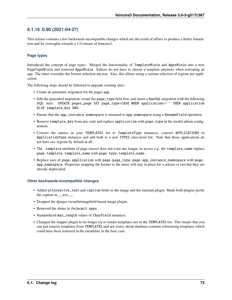#### **6.1.16 0.90 (2021-04-27)**

This release contains a few backwards-incompatible changes which are the result of efforts to produce a better foundation and fix oversights towards a 1.0 release of feincms3.

#### **Page types**

Introduced the concept of page types. Merged the functionality of TemplateMixin and AppsMixin into a new PageTypeMixin and removed AppsMixin. Editors do not have to choose a template anymore when activating an app. The latter overrides the former selection anyway. Also, this allows using a custom selection of regions per application.

The following steps should be followed to upgrade existing sites:

- Create an automatic migration for the pages app.
- Edit the generated migration; create the page\_type field first, and insert a RunSQL migration with the following SQL next: UPDATE pages\_page SET page\_type=CASE WHEN application<>'' THEN application ELSE template\_key END.
- Ensure that the app\_instance\_namespace is renamed to app\_namespace using a RenameField operation.
- Remove template\_key from any code and replace application with page\_type in the model admin configuration.
- Convert the entries in your TEMPLATES list to TemplateType instances, convert APPLICATIONS to ApplicationType instances and add both to a new TYPES class-level list. Note that those applications do not have *any* regions by default at all.
- The .template attribute of page classes does not exist any longer, to access e.g. the template\_name replace page.template.template\_name with page.type.template\_name.
- Replace uses of page.application with page.page\_type, page.app\_instance\_namespace with page. app\_namespace. Properties mapping the former to the latter will stay in place for a release or two but they are already deprecated.

#### **Other backwards-incompatible changes**

- Added alternative\_text and caption fields to the image and the external plugin. Made both plugins prefer the caption in \_\_str\_\_.
- Dropped the django-versatileimagefield-based image plugin.
- Removed the shims in feincms3.apps.
- Standardized max\_length values of CharField instances.
- Changed the snippet plugin to no longer try to render templates not in the TEMPLATES list. This means that you can just remove templates from TEMPLATES and not worry about database contents referencing templates which could have been removed in the meantime in the base case.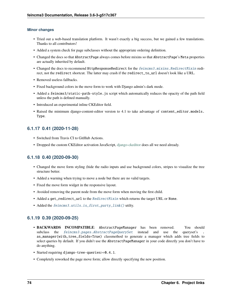#### **Minor changes**

- Tried out a web-based translation platform. It wasn't exactly a big success, but we gained a few translations. Thanks to all contributors!
- Added a system check for page subclasses without the appropriate ordering definition.
- Changed the docs so that AbstractPage always comes before mixins so that AbstractPage's Meta properties are actually inherited by default.
- Changed the docs to recommend HttpResponseRedirect for the [feincms3.mixins.RedirectMixin](#page-59-1) redirect, not the redirect shortcut. The latter may crash if the redirect\_to\_url doesn't look like a URL.
- Removed useless fallbacks.
- Fixed background colors in the move form to work with Django admin's dark mode.
- Added a feincms3/static-path-style.js script which automatically reduces the opacity of the path field unless the path is defined manually.
- Introduced an experimental inline CKEditor field.
- Raised the minimum django-content-editor version to 4.1 to take advantage of content\_editor.models. Type.

#### **6.1.17 0.41 (2020-11-28)**

- Switched from Travis CI to GitHub Actions.
- Dropped the custom CKEditor activation JavaScript, [django-ckeditor](https://github.com/django-ckeditor/django-ckeditor/) does all we need already.

#### **6.1.18 0.40 (2020-09-30)**

- Changed the move form styling (hide the radio inputs and use background colors, stripes to visualize the tree structure better.
- Added a warning when trying to move a node but there are no valid targets.
- Fixed the move form widget in the responsive layout.
- Avoided removing the parent node from the move form when moving the first child.
- Added a get\_redirect\_url to the [RedirectMixin](#page-59-1) which returns the target URL or None.
- Added the [feincms3.utils.is\\_first\\_party\\_link\(\)](#page-71-0) utilty.

#### **6.1.19 0.39 (2020-09-25)**

- **BACKWARDS INCOMPATIBLE**: AbstractPageManager has been removed. You should subclass the [feincms3.pages.AbstractPageQuerySet](#page-60-1) instead and use the queryset's as\_manager(with\_tree\_fields=True) classmethod to generate a manager which adds tree fields to select queries by default. If you didn't use the AbstractPageManager in your code directly you don't have to do anything.
- Started requiring django-tree-queries>=0.4.1.
- Completely reworked the page move form; allow directly specifying the new position.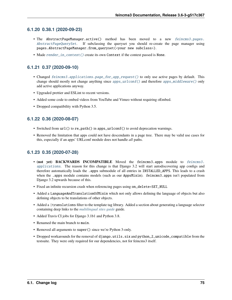#### **6.1.20 0.38.1 (2020-09-23)**

- The AbstractPageManager.active() method has been moved to a new [feincms3.pages.](#page-60-1) [AbstractPageQuerySet](#page-60-1). If subclassing the queryset you should re-create the page manager using pages.AbstractPageManager.from\_queryset(<your new subclass>).
- Made [render\\_in\\_context\(\)](#page-66-1) create its own Context if the context passed is None.

#### **6.1.21 0.37 (2020-09-10)**

- Changed [feincms3.applications.page\\_for\\_app\\_request\(\)](#page-54-1) to only use active pages by default. This change should mostly not change anything since [apps\\_urlconf\(\)](#page-54-2) and therefore [apps\\_middleware\(\)](#page-54-3) only add active applications anyway.
- Upgraded prettier and ESLint to recent versions.
- Added some code to embed videos from YouTube and Vimeo without requiring oEmbed.
- Dropped compatibility with Python 3.5.

#### **6.1.22 0.36 (2020-08-07)**

- Switched from  $url()$  to  $re\_path()$  in apps\_urlconf() to avoid deprecation warnings.
- Removed the limitation that apps could not have descendants in a page tree. There may be valid use cases for this, especially if an apps' URLconf module does not handle *all* paths.

#### **6.1.23 0.35 (2020-07-28)**

- **(not yet) BACKWARDS INCOMPATIBLE** Moved the feincms3.apps module to [feincms3.](#page-51-0) [applications](#page-51-0). The reason for this change is that Django 3.2 will start autodiscovering app configs and therefore automatically loads the .apps submodule of all entries in INSTALLED\_APPS. This leads to a crash when the .apps module contains models (such as our AppsMixin). feincms3.apps isn't populated from Django 3.2 upwards because of this.
- Fixed an infinite recursion crash when referencing pages using on\_delete=SET\_NULL
- Added a LanguageAndTranslationOfMixin which not only allows defining the language of objects but also defining objects to be translations of other objects.
- Added a | translations filter to the template tag library. Added a section about generating a language selector containing deep links to the *[multilingual sites guide](#page-34-0)* guide.
- Added Travis CI jobs for Django 3.1b1 and Python 3.8.
- Renamed the main branch to main.
- Removed all arguments to super() since we're Python 3-only.
- Dropped workarounds for the removal of django.utils.six and python\_2\_unicode\_compatible from the testsuite. They were only required for our dependencies, not for feincms3 itself.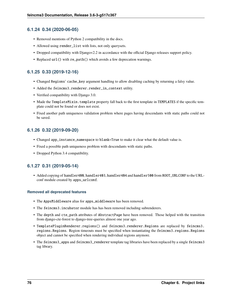#### **6.1.24 0.34 (2020-06-05)**

- Removed mentions of Python 2 compatibility in the docs.
- Allowed using render\_list with lists, not only querysets.
- Dropped compatibility with Django<2.2 in accordance with the official Django releases support policy.
- Replaced  $url()$  with re\_path() which avoids a few deprecation warnings.

#### **6.1.25 0.33 (2019-12-16)**

- Changed Regions' cache\_key argument handling to allow disabling caching by returning a falsy value.
- Added the feincms3.renderer.render\_in\_context utility.
- Verified compatibility with Django 3.0.
- Made the TemplateMixin.template property fall back to the first template in TEMPLATES if the specific template could not be found or does not exist.
- Fixed another path uniqueness validation problem where pages having descendants with static paths could not be saved.

### **6.1.26 0.32 (2019-09-20)**

- Changed app\_instance\_namespace to blank=True to make it clear what the default value is.
- Fixed a possible path uniqueness problem with descendants with static paths.
- Dropped Python 3.4 compatibility.

#### **6.1.27 0.31 (2019-05-14)**

• Added copying of handler400, handler403, handler404 and handler500 from ROOT\_URLCONF to the URLconf module created by apps\_urlconf.

#### **Removed all deprecated features**

- The AppsMiddleware alias for apps\_middleware has been removed.
- The feincms3.incubator module has has been removed including subrenderers.
- The depth and cte\_path attributes of AbstractPage have been removed. Those helped with the transition from django-cte-forest to django-tree-queries almost one year ago.
- TemplatePluginRenderer.regions() and feincms3.renderer.Regions are replaced by feincms3. regions.Regions. Region timeouts must be specified when instantiating the feincms3.regions.Regions object and cannot be specified when rendering individual regions anymore.
- The feincms3\_apps and feincms3\_renderer template tag libraries have been replaced by a single feincms3 tag library.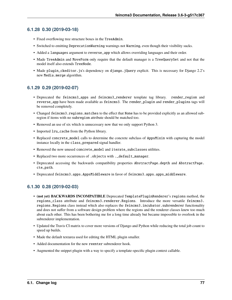#### **6.1.28 0.30 (2019-03-18)**

- Fixed overflowing tree structure boxes in the TreeAdmin.
- Switched to emitting DeprecationWarning warnings not Warning, even though their visibility sucks.
- Added a languages argument to reverse\_app which allows overriding languages and their order.
- Made TreeAdmin and MoveForm only require that the default manager is a TreeQuerySet and not that the model itself also extends TreeNode.
- Made plugin\_ckeditor.js's dependency on django.jQuery explicit. This is necessary for Django 2.2's new Media.merge algorithm.

#### **6.1.29 0.29 (2019-02-07)**

- Deprecated the feincms3\_apps and feincms3\_renderer template tag library. render\_region and reverse\_app have been made available as feincms3. The render\_plugin and render\_plugins tags will be removed completely.
- Changed feincms3.regions.matches to the effect that None has to be provided explicitly as an allowed subregion if items with no subregion attribute should be matched too.
- Removed an use of six which is unnecessary now that we only support Python 3.
- Imported lru\_cache from the Python library.
- Replaced concrete\_model calls to determine the concrete subclass of AppsMixin with capturing the model instance locally in the class\_prepared signal handler.
- Removed the now unused concrete\_model and iterate\_subclasses utilities.
- Replaced two more occurrences of .objects with .\_default\_manager.
- Deprecated accessing the backwards compatibility properties AbstractPage.depth and AbstractPage. cte\_path.
- Deprecated feincms3.apps.AppsMiddleware in favor of feincms3.apps.apps\_middleware.

### **6.1.30 0.28 (2019-02-03)**

- **(not yet) BACKWARDS INCOMPATIBLE** Deprecated TemplatePluginRenderer's regions method, the regions\_class attribute and feincms3.renderer.Regions. Introduce the more versatile feincms3. regions.Regions class instead which also replaces the feincms3.incubator.subrenderer functionality and does not suffer from a software design problem where the regions and the renderer classes knew too much about each other. This has been bothering me for a long time already but became impossible to overlook in the subrenderer implementation.
- Updated the Travis CI matrix to cover more versions of Django and Python while reducing the total job count to speed up builds.
- Made the default textarea used for editing the HTML plugin smaller.
- Added documentation for the new reenter subrenderer hook.
- Augmented the snippet plugin with a way to specify a template-specific plugin context callable.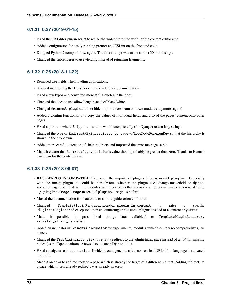#### **6.1.31 0.27 (2019-01-15)**

- Fixed the CKEditor plugin script to resize the widget to fit the width of the content editor area.
- Added configuration for easily running prettier and ESLint on the frontend code.
- Dropped Python 2 compatibility, again. The first attempt was made almost 30 months ago.
- Changed the subrenderer to use yielding instead of returning fragments.

#### **6.1.32 0.26 (2018-11-22)**

- Removed tree fields when loading applications.
- Stopped mentioning the AppsMixin in the reference documentation.
- Fixed a few typos and converted more string quotes in the docs.
- Changed the docs to use allow/deny instead of black/white.
- Changed feincms3.plugins do not hide import errors from our own modules anymore (again).
- Added a cloning functionality to copy the values of individual fields and also of the pages' content onto other pages.
- Fixed a problem where Snippet.\_\_str\_\_ would unexpectedly (for Django) return lazy strings.
- Changed the type of RedirectMixin.redirect\_to\_page to TreeNodeForeignKey so that the hierarchy is shown in the dropdown.
- Added more careful detection of chain redirects and improved the error messages a bit.
- Made it clearer that AbstractPage.position's value should probably be greater than zero. Thanks to Hannah Cushman for the contribution!

#### **6.1.33 0.25 (2018-09-07)**

- **BACKWARDS INCOMPATIBLE** Removed the imports of plugins into feincms3.plugins. Especially with the image plugins it could be non-obvious whether the plugin uses django-imagefield or djangoversatileimagefield. Instead, the modules are imported so that classes and functions can be referenced using e.g. plugins.image.Image instead of plugins.Image as before.
- Moved the documentation from autodoc to a more guide-oriented format.
- Changed TemplatePluginRenderer.render\_plugin\_in\_context to raise a specific PluginNotRegistered exception upon encountering unregistered plugins instead of a generic KeyError.
- Made it possible to pass fixed strings (not callables) to TemplatePluginRenderer. register\_string\_renderer.
- Added an incubator in feincms3.incubator for experimental modules with absolutely no compatibility guarantees.
- Changed the TreeAdmin.move\_view to return a redirect to the admin index page instead of a 404 for missing nodes (as the Django admin's views also do since Django 1.11).
- Fixed an edge case in apps\_urlconf which would generate a few nonsensical URLs if no language is activated currently.
- Made it an error to add redirects to a page which is already the target of a different redirect. Adding redirects to a page which itself already redirects was already an error.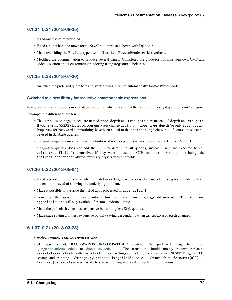#### **6.1.34 0.24 (2018-08-25)**

- Fixed one use of removed API.
- Fixed a bug where the move form "Save" button wasn't shown with Django 2.1.
- Made overriding the Regions type used in TemplatePluginRenderer less verbose.
- Modified the documentation to produce several pages. Completed the guide for building your own CMS and added a section about customizing rendering using Regions subclasses.

### **6.1.35 0.23 (2018-07-30)**

• Switched the preferred quote to " and started using [black](https://pypi.org/project/black/) to automatically format Python code.

#### **Switched to a new library for recursive common table expressions**

[django-tree-queries](https://github.com/matthiask/django-tree-queries/)supports more database engines, which means that the [PostgreSQL-](https://www.postgresql.org/)only days of feincms3 are gone.

Incompatible differences are few:

- The attributes on page objects are named tree\_depth and tree\_path now instead of depth and cte\_path. If you're using WHERE clauses on your querysets change depth to \_\_tree.tree\_depth (or only tree\_depth). Properties for backward compatibility have been added to the AbstractPage class, but of course those cannot be used in database queries.
- [django-tree-queries](https://github.com/matthiask/django-tree-queries/) uses the correct definition of node depth where root nodes have a depth of 0, not 1.
- [django-tree-queries](https://github.com/matthiask/django-tree-queries/) does not add the CTE by default to all queries, instead, users are expected to call .with\_tree\_fields() themselves if they want to use the CTE attributes. For the time being, the AbstractPageManager always returns querysets with tree fields.

#### **6.1.36 0.22 (2018-05-04)**

- Fixed a problem in MoveForm where invalid move targets would crash because of missing form fields to attach the error to instead of showing the underlying problem.
- Made it possible to override the list of apps processed in apps\_urlconf.
- Converted the apps middleware into a function, now named apps\_middleware. The old name AppsMiddleware will stay available for some undefined time.
- Made the path clash check less expensive by running less SQL queries.
- Made page saving a bit less expensive by only saving descendants when is\_active or path changed.

#### **6.1.37 0.21 (2018-03-28)**

- Added a template tag for reverse\_app.
- **(At least a bit) BACKWARDS INCOMPATIBLE** Switched the preferred image field from [django-versatileimagefield](https://django-versatileimagefield.readthedocs.io/) to [django-imagefield.](https://django-imagefield.readthedocs.io/) The transition should mostly require replacing versatileimagefield with imagefield in your settings etc., adding the appropriate IMAGEFIELD\_FORMATS setting and running ./manage.py process\_imagefields once. Switch from feincms3[all] to feincms3[versatileimagefield] to stay with [django-versatileimagefield](https://django-versatileimagefield.readthedocs.io/) for the moment.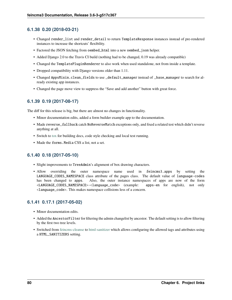#### **6.1.38 0.20 (2018-03-21)**

- Changed render\_list and render\_detail to return TemplateResponse instances instead of pre-rendered instances to increase the shortcuts' flexibility.
- Factored the JSON fetching from oembed\_html into a new oembed\_json helper.
- Added Django 2.0 to the Travis CI build (nothing had to be changed, 0.19 was already compatible)
- Changed the TemplatePluginRenderer to also work when used standalone, not from inside a template.
- Dropped compatibility with Django versions older than 1.11.
- Changed AppsMixin.clean\_fields to use \_default\_manager instead of \_base\_manager to search for already existing app instances.
- Changed the page move view to suppress the "Save and add another" button with great force.

### **6.1.39 0.19 (2017-08-17)**

The diff for this release is big, but there are almost no changes in functionality.

- Minor documentation edits, added a form builder example app to the documentation.
- Made reverse\_fallback catch NoReverseMatch exceptions only, and fixed a related test which didn't reverse anything at all.
- Switch to [tox](https://tox.readthedocs.io/) for building docs, code style checking and local test running.
- Made the forms. Media CSS a list, not a set.

### **6.1.40 0.18 (2017-05-10)**

- Slight improvements to TreeAdmin's alignment of box drawing characters.
- Allow overriding the outer namespace name used in feincms3.apps by setting the LANGUAGE\_CODES\_NAMESPACE class attribute of the pages class. The default value of language-codes has been changed to apps. Also, the outer instance namespaces of apps are now of the form <LANGUAGE\_CODES\_NAMESPACE>-<language\_code> (example: apps-en for english), not only <language\_code>. This makes namespace collisions less of a concern.

### **6.1.41 0.17.1 (2017-05-02)**

- Minor documentation edits.
- Added the AncestorFilter for filtering the admin changelist by ancestor. The default setting is to allow filtering by the first two tree levels.
- Switched from [feincms-cleanse](https://pypi.python.org/pypi/feincms-cleanse/) to [html-sanitizer](https://pypi.python.org/pypi/html-sanitizer/) which allows configuring the allowed tags and attributes using a HTML\_SANITIZERS setting.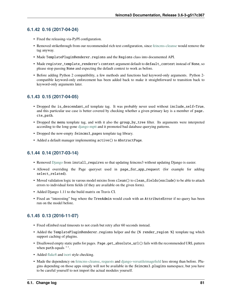#### **6.1.42 0.16 (2017-04-24)**

- Fixed the releasing-via-PyPI configuration.
- Removed strikethrough from our recommended rich text configuration, since [feincms-cleanse](https://pypi.python.org/pypi/feincms-cleanse/) would remove the tag anyway.
- Made TemplatePluginRenderer.regions and the Regions class into documented API.
- Made register\_template\_renderer's context argument default to default\_context instead of None, so please stop passing None and expecting the default context to work as before.
- Before adding Python 2 compatibility, a few methods and functions had keyword-only arguments. Python 2 compatible keyword-only enforcement has been added back to make it straightforward to transition back to keyword-only arguments later.

#### **6.1.43 0.15 (2017-04-05)**

- Dropped the is\_descendant\_of template tag. It was probably never used without include\_self=True, and this particular use case is better covered by checking whether a given primary key is a member of page. cte\_path.
- Dropped the menu template tag, and with it also the group\_by\_tree filter. Its arguments were interpreted according to the long-gone [django-mptt](https://django-mptt.readthedocs.io/) and it promoted bad database querying patterns.
- Dropped the now-empty feincms3\_pages template tag library.
- Added a default manager implementing active() to AbstractPage.

### **6.1.44 0.14 (2017-03-14)**

- Removed [Django](https://www.djangoproject.com/) from install\_requires so that updating feincms3 without updating Django is easier.
- Allowed overriding the Page queryset used in page\_for\_app\_request (for example for adding select\_related).
- Moved validation logic in varous model mixins from clean() to clean\_fields(exclude) to be able to attach errors to individual form fields (if they are available on the given form).
- Added Django 1.11 to the build matrix on Travis CI.
- Fixed an "interesting" bug where the TreeAdmin would crash with an AttributeError if no query has been run on the model before.

### **6.1.45 0.13 (2016-11-07)**

- Fixed oEmbed read timeouts to not crash but retry after 60 seconds instead.
- Added the TemplatePluginRenderer.regions helper and the {% render\_region %} template tag which support caching of plugins.
- Disallowed empty static paths for pages. Page.get\_absolute\_url() fails with the recommended URL pattern when path equals ''.
- Added [flake8](https://pypi.python.org/pypi/flake8) and [isort](https://pypi.python.org/pypi/isort) style checking.
- Made the dependency on [feincms-cleanse,](https://pypi.python.org/pypi/feincms-cleanse/) [requests](http://docs.python-requests.org/) and [django-versatileimagefield](https://django-versatileimagefield.readthedocs.io/) less strong than before. Plugins depending on those apps simply will not be available in the feincms3.plugins namespace, but you have to be careful yourself to not import the actual modules yourself.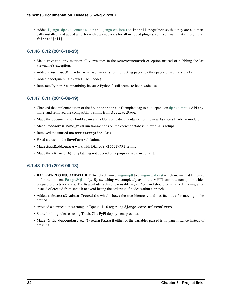• Added [Django,](https://www.djangoproject.com/) [django-content-editor](https://django-content-editor.readthedocs.io/) and [django-cte-forest](https://django-cte-forest.readthedocs.io/) to install\_requires so that they are automatically installed, and added an extra with dependencies for all included plugins, so if you want that simply install feincms3[all].

### **6.1.46 0.12 (2016-10-23)**

- Made reverse\_any mention all viewnames in the NoReverseMatch exception instead of bubbling the last viewname's exception.
- Added a RedirectMixin to feincms3.mixins for redirecting pages to other pages or arbitrary URLs.
- Added a footgun plugin (raw HTML code).
- Reinstate Python 2 compatibility because Python 2 still seems to be in wide use.

### **6.1.47 0.11 (2016-09-19)**

- Changed the implementation of the is\_descendant\_of template tag to not depend on [django-mptt'](https://django-mptt.readthedocs.io/)s API anymore, and removed the compatibility shims from AbstractPage.
- Made the documentation build again and added some documentation for the new feincms3.admin module.
- Made TreeAdmin.move\_view run transactions on the correct database in multi-DB setups.
- Removed the unused NoCommitException class.
- Fixed a crash in the MoveForm validation.
- Made AppsMiddleware work with Django's MIDDLEWARE setting.
- Made the {% menu %} template tag not depend on a page variable in context.

#### **6.1.48 0.10 (2016-09-13)**

- **BACKWARDS INCOMPATIBLE** Switched from [django-mptt](https://django-mptt.readthedocs.io/) to [django-cte-forest](https://django-cte-forest.readthedocs.io/) which means that feincms3 is for the moment [PostgreSQL-](https://www.postgresql.org/)only. By switching we completely avoid the MPTT attribute corruption which plagued projects for years. The *lft* attribute is directly reusable as *position*, and should be renamed in a migration instead of created from scratch to avoid losing the ordering of nodes within a branch.
- Added a feincms3.admin.TreeAdmin which shows the tree hierarchy and has facilities for moving nodes around.
- Avoided a deprecation warning on Django 1.10 regarding django.core.urlresolvers.
- Started rolling releases using Travis CI's PyPI deployment provider.
- Made  $\frac{1}{6}$  is\_descendant\_of %} return False if either of the variables passed is no page instance instead of crashing.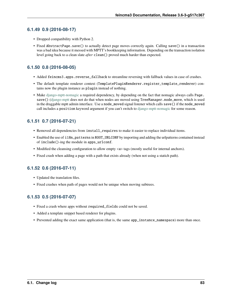#### **6.1.49 0.9 (2016-08-17)**

- Dropped compatibility with Python 2.
- Fixed AbstractPage.save() to actually detect page moves correctly again. Calling save() in a transaction was a bad idea because it messed with MPTT's bookkeeping information. Depending on the transaction isolation level going back to a clean slate *after* clean() proved much harder than expected.

### **6.1.50 0.8 (2016-08-05)**

- Added feincms3.apps.reverse\_fallback to streamline reversing with fallback values in case of crashes.
- The default template renderer context (TemplatePluginRenderer.register\_template\_renderer) contains now the plugin instance as plugin instead of nothing.
- Make [django-mptt-nomagic](https://github.com/django-mptt/django-mptt/pull/486) a required dependency, by depending on the fact that nomagic always calls Page. save() [\(django-mptt](https://django-mptt.readthedocs.io/) does not do that when nodes are moved using TreeManager.node\_move, which is used in the draggable mptt admin interface. Use a node\_moved signal listener which calls save() if the node\_moved call includes a position keyword argument if you can't switch to [django-mptt-nomagic](https://github.com/django-mptt/django-mptt/pull/486) for some reason.

### **6.1.51 0.7 (2016-07-21)**

- Removed all dependencies from install\_requires to make it easier to replace individual items.
- Enabled the use of i18n\_patterns in ROOT\_URLCONF by importing and adding the urlpatterns contained instead of include()-ing the module in apps\_urlconf.
- Modified the cleansing configuration to allow empty  $\langle a \rangle$  tags (mostly useful for internal anchors).
- Fixed crash when adding a page with a path that exists already (when not using a statich path).

### **6.1.52 0.6 (2016-07-11)**

- Updated the translation files.
- Fixed crashes when path of pages would not be unique when moving subtrees.

#### **6.1.53 0.5 (2016-07-07)**

- Fixed a crash where apps without required\_fields could not be saved.
- Added a template snippet based renderer for plugins.
- Prevented adding the exact same application (that is, the same app\_instance\_namespace) more than once.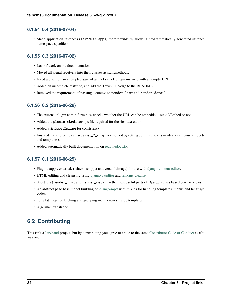#### **6.1.54 0.4 (2016-07-04)**

• Made application instances (feincms3.apps) more flexible by allowing programmatically generated instance namespace specifiers.

#### **6.1.55 0.3 (2016-07-02)**

- Lots of work on the documentation.
- Moved all signal receivers into their classes as staticmethods.
- Fixed a crash on an attempted save of an External plugin instance with an empty URL.
- Added an incomplete testsuite, and add the Travis CI badge to the README.
- Removed the requirement of passing a context to render\_list and render\_detail.

#### **6.1.56 0.2 (2016-06-28)**

- The external plugin admin form now checks whether the URL can be embedded using OEmbed or not.
- Added the plugin\_ckeditor.js file required for the rich text editor.
- Added a SnippetInline for consistency.
- Ensured that choice fields have a get\_\*\_display method by setting dummy choices in advance (menus, snippets and templates).
- Added automatically built documentation on [readthedocs.io.](http://feincms3.readthedocs.io/)

#### **6.1.57 0.1 (2016-06-25)**

- Plugins (apps, external, richtext, snippet and versatileimage) for use with [django-content-editor.](https://django-content-editor.readthedocs.io/)
- HTML editing and cleansing using [django-ckeditor](https://github.com/django-ckeditor/django-ckeditor/) and [feincms-cleanse.](https://pypi.python.org/pypi/feincms-cleanse/)
- Shortcuts (render\_list and render\_detail the most useful parts of Django's class based generic views)
- An abstract page base model building on [django-mptt](https://django-mptt.readthedocs.io/) with mixins for handling templates, menus and language codes.
- Template tags for fetching and grouping menu entries inside templates.
- A german translation.

## **6.2 Contributing**

This isn't a [Jazzband](https://jazzband.co) project, but by contributing you agree to abide to the same [Contributor Code of Conduct](https://jazzband.co/about/conduct) as if it was one.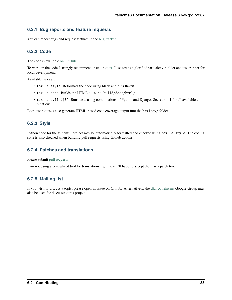#### **6.2.1 Bug reports and feature requests**

You can report bugs and request features in the [bug tracker.](https://github.com/matthiask/feincms3/issues)

### **6.2.2 Code**

The code is available [on GitHub.](https://github.com/matthiask/feincms3)

To work on the code I strongly recommend installing [tox.](https://tox.readthedocs.io) I use tox as a glorified virtualenv-builder and task runner for local development.

Available tasks are:

- tox -e style: Reformats the code using black and runs flake8.
- tox -e docs: Builds the HTML docs into build/docs/html/
- tox -e py??-dj?': Runs tests using combinations of Python and Django. See tox -l for all available combinations.

Both testing tasks also generate HTML-based code coverage output into the htmlcov/ folder.

### **6.2.3 Style**

Python code for the feincms3 project may be automatically formatted and checked using tox -e style. The coding style is also checked when building pull requests using Github actions.

#### **6.2.4 Patches and translations**

Please submit [pull requests!](https://github.com/matthiask/feincms3/pulls)

I am not using a centralized tool for translations right now, I'll happily accept them as a patch too.

### **6.2.5 Mailing list**

If you wish to discuss a topic, please open an issue on Github. Alternatively, the [django-feincms](https://groups.google.com/forum/#!forum/django-feincms) Google Group may also be used for discussing this project.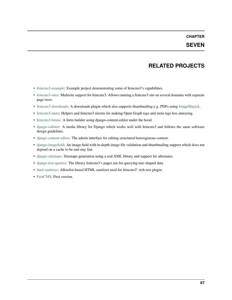## **SEVEN**

### **RELATED PROJECTS**

- [feincms3-example:](https://github.com/matthiask/feincms3-example) Example project demonstrating some of feincms3's capabilities.
- [feincms3-sites:](https://github.com/matthiask/feincms3-sites) Multisite support for feincms3. Allows running a feincms3 site on several domains with separate page trees.
- [feincms3-downloads:](https://github.com/matthiask/feincms3-downloads) A downloads plugin which also supports thumbnailing e.g. PDFs using [ImageMagick.](https://www.imagemagick.org/)
- [feincms3-meta:](https://github.com/matthiask/feincms3-meta) Helpers and feincms3 mixins for making Open Graph tags and meta tags less annoying.
- [feincms3-forms:](https://github.com/matthiask/feincms3-forms/) A form builder using django-content-editor under the hood.
- [django-cabinet:](https://github.com/matthiask/django-cabinet) A media library for Django which works well with feincms3 and follows the same software design guidelines.
- [django-content-editor:](https://django-content-editor.readthedocs.io) The admin interface for editing structured heterogenous content.
- [django-imagefield:](https://github.com/matthiask/django-imagefield) An image field with in-depth image file validation and thumbnailing support which does not depend on a cache to be and stay fast.
- [django-sitemaps:](https://github.com/matthiask/django-sitemaps) Sitemaps generation using a real XML library and support for alternates.
- [django-tree-queries:](https://github.com/matthiask/django-tree-queries) The library feincms3's pages use for querying tree-shaped data.
- [html-sanitizer:](https://github.com/matthiask/html-sanitizer) Allowlist-based HTML sanitizer used for feincms3' rich text plugin.
- [FeinCMS:](https://github.com/feincms/feincms) First version.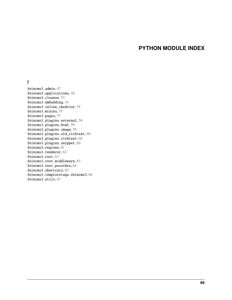## **PYTHON MODULE INDEX**

#### f

feincms3.admin, [47](#page-50-0) feincms3.applications, [48](#page-51-0) feincms3.cleanse, [53](#page-56-0) feincms3.embedding, [54](#page-57-0) feincms3.inline\_ckeditor, [55](#page-58-0) feincms3.mixins, [55](#page-58-1) feincms3.pages, [57](#page-60-2) feincms3.plugins.external, [58](#page-61-0) feincms3.plugins.html, [59](#page-62-1) feincms3.plugins.image, [59](#page-62-2) feincms3.plugins.old\_richtext, [60](#page-63-1) feincms3.plugins.richtext, [60](#page-63-0) feincms3.plugins.snippet, [60](#page-63-2) feincms3.regions, [61](#page-64-0) feincms3.renderer, [62](#page-65-1) feincms3.root, [63](#page-66-2) feincms3.root.middleware, [63](#page-66-3) feincms3.root.passthru, [64](#page-67-1) feincms3.shortcuts, [65](#page-68-0) feincms3.templatetags.feincms3, [66](#page-69-0) feincms3.utils, [67](#page-70-0)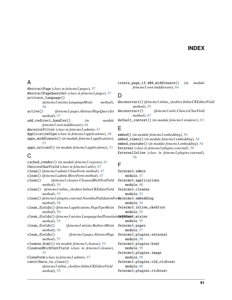### **INDEX**

### A

AbstractPage (*class in feincms3.pages*), [57](#page-60-3) AbstractPageQuerySet (*class in feincms3.pages*), [57](#page-60-3) activate\_language() (*feincms3.mixins.LanguageMixin method*), [56](#page-59-2) active() (*feincms3.pages.AbstractPageQuerySet method*), [57](#page-60-3) add\_redirect\_handler() (*in module feincms3.root.middleware*), [64](#page-67-2) AncestorFilter (*class in feincms3.admin*), [47](#page-50-1) ApplicationType (*class in feincms3.applications*), [48](#page-51-1) apps\_middleware() (*in module feincms3.applications*), [51](#page-54-4) apps\_urlconf() (*in module feincms3.applications*), [51](#page-54-4)

## C

cached\_render() (*in module feincms3.regions*), [61](#page-64-2) ChoicesCharField (*class in feincms3.utils*), [67](#page-70-1) clean() (*feincms3.admin.CloneForm method*), [47](#page-50-1) clean() (*feincms3.admin.MoveForm method*), [47](#page-50-1) clean() (*feincms3.cleanse.CleansedRichTextField method*), [54](#page-57-2) clean() (*feincms3.inline\_ckeditor.InlineCKEditorField* feincms3.cleanse *method*), [55](#page-58-2) clean()(feincms3.plugins.external.NoembedValidationForfreincms3.embedding *method*), [58](#page-61-1) clean\_fields() (*feincms3.applications.PageTypeMixin* feincms3.inline\_ckeditor *method*), [50](#page-53-0) clean\_fields()(feincms3.mixins.LanguageAndTranslatiofieifMtinis3.mixins *method*), [55](#page-58-2) clean\_fields() (*feincms3.mixins.RedirectMixin* feincms3.pages *method*), [56](#page-59-2) clean\_fields() (*feincms3.pages.AbstractPage method*), [57](#page-60-3) cleanse\_html() (*in module feincms3.cleanse*), [54](#page-57-2) CleansedRichTextField (*class in feincms3.cleanse*), [53](#page-56-1) CloneForm (*class in feincms3.admin*), [47](#page-50-1) contribute\_to\_class() (*feincms3.inline\_ckeditor.InlineCKEditorField method*), [55](#page-58-2) F module, [47](#page-50-1) module, [48](#page-51-1) module, [53](#page-56-1) module, [54](#page-57-2) module, [55](#page-58-2) module, [55](#page-58-2) module, [57](#page-60-3) module, [58](#page-61-1) module, [59](#page-62-3) module, [59](#page-62-3) module, [60](#page-63-3)

create\_page\_if\_404\_middleware() (*in module feincms3.root.middleware*), [64](#page-67-2)

#### D

deconstruct() (*feincms3.inline\_ckeditor.InlineCKEditorField method*), [55](#page-58-2) deconstruct() (*feincms3.utils.ChoicesCharField method*), [67](#page-70-1) default\_context() (*in module feincms3.renderer*), [63](#page-66-4)

### E

embed() (*in module feincms3.embedding*), [54](#page-57-2) embed\_vimeo() (*in module feincms3.embedding*), [54](#page-57-2) embed\_youtube() (*in module feincms3.embedding*), [54](#page-57-2) External (*class in feincms3.plugins.external*), [58](#page-61-1) ExternalInline (*class in feincms3.plugins.external*), [58](#page-61-1)

feincms3.admin feincms3.applications feincms3.plugins.external feincms3.plugins.html feincms3.plugins.image feincms3.plugins.old\_richtext feincms3.plugins.richtext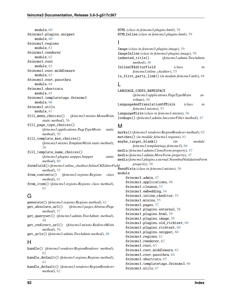module, [60](#page-63-3) feincms3.plugins.snippet module, [60](#page-63-3) feincms3.regions module, [61](#page-64-2) feincms3.renderer module, [62](#page-65-2) feincms3.root module, [63](#page-66-4) feincms3.root.middleware module, [63](#page-66-4) feincms3.root.passthru module, [64](#page-67-2) feincms3.shortcuts module, [65](#page-68-1) feincms3.templatetags.feincms3 module, [66](#page-69-1) feincms3.utils module, [67](#page-70-1) fill\_menu\_choices() (*feincms3.mixins.MenuMixin static method*), [56](#page-59-2) fill\_page\_type\_choices() (*feincms3.applications.PageTypeMixin static method*), [50](#page-53-0) fill\_template\_key\_choices() (*feincms3.mixins.TemplateMixin static method*), [56](#page-59-2) fill\_template\_name\_choices() (*feincms3.plugins.snippet.Snippet static method*), [60](#page-63-3) formfield() (*feincms3.inline\_ckeditor.InlineCKEditorField method*), [55](#page-58-2) from\_contents() (*feincms3.regions.Regions class method*), [61](#page-64-2) from\_item() (*feincms3.regions.Regions class method*), [61](#page-64-2)

# G

generate() (*feincms3.regions.Regions method*), [61](#page-64-2) get\_absolute\_url() (*feincms3.pages.AbstractPage method*), [57](#page-60-3) get\_queryset() (*feincms3.admin.TreeAdmin method*), [48](#page-51-1) get\_redirect\_url() (*feincms3.mixins.RedirectMixin method*), [56](#page-59-2) get\_urls() (*feincms3.admin.TreeAdmin method*), [48](#page-51-1)

## H

handle() (*feincms3.renderer.RegionRenderer method*), [62](#page-65-2) handle\_default() (*feincms3.regions.Regions method*),

[61](#page-64-2)

handle\_default() (*feincms3.renderer.RegionRenderer method*), [62](#page-65-2)

HTML (*class in feincms3.plugins.html*), [59](#page-62-3) HTMLInline (*class in feincms3.plugins.html*), [59](#page-62-3)

### I

Image (*class in feincms3.plugins.image*), [59](#page-62-3) ImageInline (*class in feincms3.plugins.image*), [59](#page-62-3) indented\_title() (*feincms3.admin.TreeAdmin method*), [48](#page-51-1) InlineCKEditorField (*class in feincms3.inline\_ckeditor*), [55](#page-58-2) is\_first\_party\_link() (*in module feincms3.utils*), [68](#page-71-1)

## L

```
LANGUAGE_CODES_NAMESPACE
        (feincms3.applications.PageTypeMixin at-
        tribute), 50
LanguageAndTranslationOfMixin (class in
        feincms3.mixins), 55
LanguageMixin (class in feincms3.mixins), 56
lookups() (feincms3.admin.AncestorFilter method), 47
```
### M

marks() (*feincms3.renderer.RegionRenderer method*), [62](#page-65-2) matches() (*in module feincms3.regions*), [61](#page-64-2) maybe\_target\_blank() (*in module feincms3.templatetags.feincms3*), [66](#page-69-1) media (*feincms3.admin.CloneForm property*), [47](#page-50-1) media (*feincms3.admin.MoveForm property*), [47](#page-50-1) media (*feincms3.plugins.external.NoembedValidationForm property*), [58](#page-61-1) MenuMixin (*class in feincms3.mixins*), [56](#page-59-2) module feincms3.admin, [47](#page-50-1) feincms3.applications, [48](#page-51-1) feincms3.cleanse, [53](#page-56-1) feincms3.embedding, [54](#page-57-2) feincms3.inline\_ckeditor, [55](#page-58-2) feincms3.mixins, [55](#page-58-2) feincms3.pages, [57](#page-60-3) feincms3.plugins.external, [58](#page-61-1) feincms3.plugins.html, [59](#page-62-3) feincms3.plugins.image, [59](#page-62-3) feincms3.plugins.old\_richtext, [60](#page-63-3) feincms3.plugins.richtext, [60](#page-63-3) feincms3.plugins.snippet, [60](#page-63-3) feincms3.regions, [61](#page-64-2) feincms3.renderer, [62](#page-65-2) feincms3.root, [63](#page-66-4) feincms3.root.middleware, [63](#page-66-4) feincms3.root.passthru, [64](#page-67-2) feincms3.shortcuts, [65](#page-68-1) feincms3.templatetags.feincms3, [66](#page-69-1) feincms3.utils, [67](#page-70-1)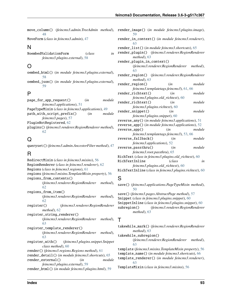- move\_column() (*feincms3.admin.TreeAdmin method*), [48](#page-51-1)
- MoveForm (*class in feincms3.admin*), [47](#page-50-1)

### N

NoembedValidationForm (*class in feincms3.plugins.external*), [58](#page-61-1)

## O

oembed\_html() (*in module feincms3.plugins.external*), [58](#page-61-1) oembed\_json() (*in module feincms3.plugins.external*), [59](#page-62-3)

### P

page\_for\_app\_request() (*in module feincms3.applications*), [51](#page-54-4) PageTypeMixin (*class in feincms3.applications*), [49](#page-52-0) path\_with\_script\_prefix() (*in module feincms3.pages*), [57](#page-60-3) PluginNotRegistered, [62](#page-65-2) plugins() (*feincms3.renderer.RegionRenderer method*), [62](#page-65-2)

# $\Omega$

queryset() (*feincms3.admin.AncestorFilter method*), [47](#page-50-1)

## R

RedirectMixin (*class in feincms3.mixins*), [56](#page-59-2) RegionRenderer (*class in feincms3.renderer*), [62](#page-65-2) Regions (*class in feincms3.regions*), [61](#page-64-2) regions (*feincms3.mixins.TemplateMixin property*), [56](#page-59-2) regions\_from\_contents() (*feincms3.renderer.RegionRenderer method*), [62](#page-65-2) regions\_from\_item() (*feincms3.renderer.RegionRenderer method*), [62](#page-65-2) register() (*feincms3.renderer.RegionRenderer method*), [62](#page-65-2) register\_string\_renderer() (*feincms3.renderer.RegionRenderer method*), [63](#page-66-4) register\_template\_renderer() (*feincms3.renderer.RegionRenderer method*), [63](#page-66-4) register\_with() (*feincms3.plugins.snippet.Snippet class method*), [60](#page-63-3) render() (*feincms3.regions.Regions method*), [61](#page-64-2) render\_detail() (*in module feincms3.shortcuts*), [65](#page-68-1) render\_external() (*in module feincms3.plugins.external*), [59](#page-62-3) render\_html() (*in module feincms3.plugins.html*), [59](#page-62-3)

| render_image() (in module feincms3.plugins.image),<br>59         |                                         |          |
|------------------------------------------------------------------|-----------------------------------------|----------|
| render_in_context() (in module feincms3.renderer),               |                                         |          |
| 63                                                               |                                         |          |
| render_list() (in module feincms3.shortcuts), 65                 |                                         |          |
| render_plugin() (feincms3.renderer.RegionRenderer<br>method), 63 |                                         |          |
| render_plugin_in_context()                                       |                                         |          |
|                                                                  | (feincms3.renderer.RegionRenderer       | method), |
| 63                                                               |                                         |          |
| render_region() (feincms3.renderer.RegionRenderer                |                                         |          |
| method), 63                                                      |                                         |          |
| render_region()                                                  | (in                                     | module   |
|                                                                  | feincms3.templatetags.feincms3), 61, 66 |          |
| render_richtext()                                                | (in                                     | module   |
| feincms3.plugins.old_richtext), 60                               |                                         |          |
| render_richtext()                                                | (in                                     | module   |
| feincms3.plugins.richtext), 60                                   |                                         |          |
| render_snippet()                                                 | (in                                     | module   |
| feincms3.plugins.snippet), 60                                    |                                         |          |
| reverse_any() (in module feincms3.applications), 51              |                                         |          |
| reverse_app() (in module feincms3.applications), 52              |                                         |          |
| reverse_app()                                                    | (in                                     | module   |
|                                                                  | feincms3.templatetags.feincms3), 53, 66 |          |
| reverse_fallback()                                               | (in                                     | module   |
| feincms3.applications), 52                                       |                                         |          |
| reverse_passthru()                                               | (in                                     | module   |
| feincms3.root.passthru), 65                                      |                                         |          |
| RichText (class in feincms3.plugins.old_richtext), 60            |                                         |          |
| RichTextInline                                                   | (class                                  | in       |
| feincms3.plugins.old_richtext), 60                               |                                         |          |
| RichTextInline (class in feincms3.plugins.richtext), 60          |                                         |          |

## S

save() (*feincms3.applications.PageTypeMixin method*), [50](#page-53-0) save() (*feincms3.pages.AbstractPage method*), [57](#page-60-3) Snippet (*class in feincms3.plugins.snippet*), [60](#page-63-3) SnippetInline (*class in feincms3.plugins.snippet*), [60](#page-63-3) subregion() (*feincms3.renderer.RegionRenderer method*), [63](#page-66-4)

#### T

takewhile\_mark() (*feincms3.renderer.RegionRenderer method*), [63](#page-66-4) takewhile\_subregion() (*feincms3.renderer.RegionRenderer method*), [63](#page-66-4) template (*feincms3.mixins.TemplateMixin property*), [56](#page-59-2) template\_name() (*in module feincms3.shortcuts*), [66](#page-69-1) template\_renderer() (*in module feincms3.renderer*), [63](#page-66-4)

TemplateMixin (*class in feincms3.mixins*), [56](#page-59-2)